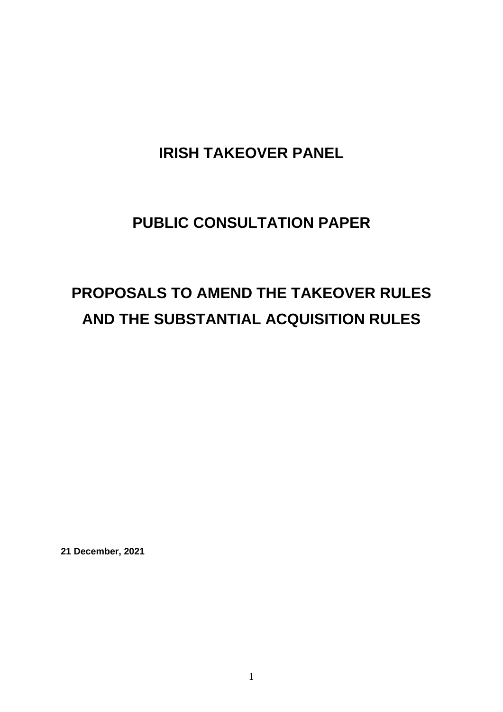# **IRISH TAKEOVER PANEL**

# **PUBLIC CONSULTATION PAPER**

# **PROPOSALS TO AMEND THE TAKEOVER RULES AND THE SUBSTANTIAL ACQUISITION RULES**

**21 December, 2021**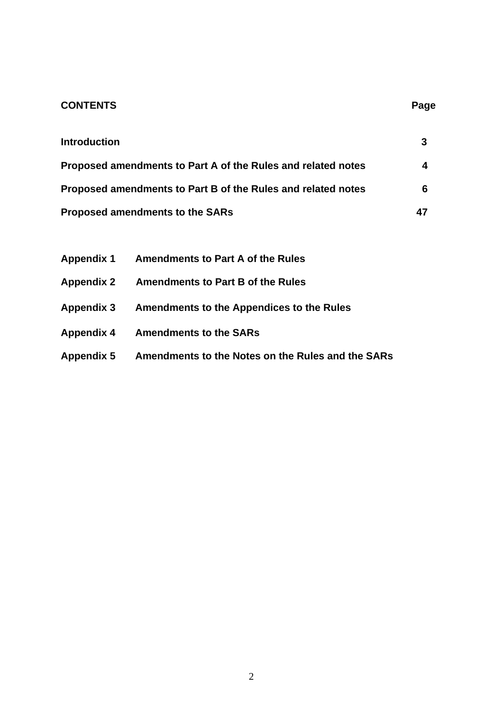# **CONTENTS** Page

| <b>Introduction</b>                                          | 3  |
|--------------------------------------------------------------|----|
| Proposed amendments to Part A of the Rules and related notes | 4  |
| Proposed amendments to Part B of the Rules and related notes | 6  |
| <b>Proposed amendments to the SARs</b>                       | 47 |

| <b>Appendix 1</b> | <b>Amendments to Part A of the Rules</b>          |
|-------------------|---------------------------------------------------|
| <b>Appendix 2</b> | <b>Amendments to Part B of the Rules</b>          |
| <b>Appendix 3</b> | <b>Amendments to the Appendices to the Rules</b>  |
| <b>Appendix 4</b> | <b>Amendments to the SARs</b>                     |
| <b>Appendix 5</b> | Amendments to the Notes on the Rules and the SARs |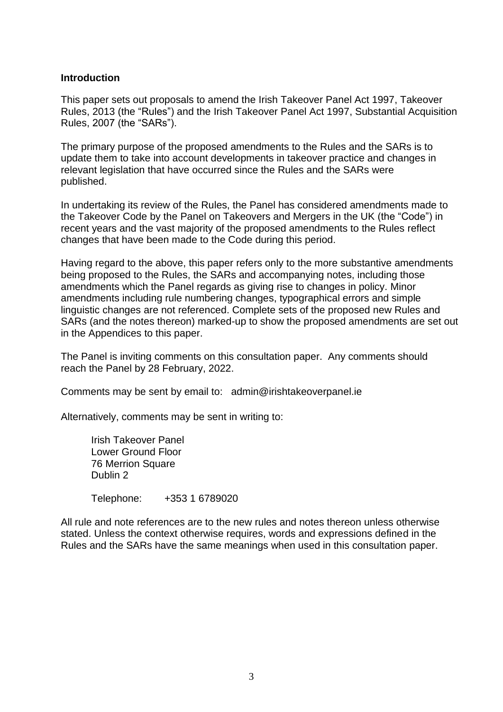#### **Introduction**

This paper sets out proposals to amend the Irish Takeover Panel Act 1997, Takeover Rules, 2013 (the "Rules") and the Irish Takeover Panel Act 1997, Substantial Acquisition Rules, 2007 (the "SARs").

The primary purpose of the proposed amendments to the Rules and the SARs is to update them to take into account developments in takeover practice and changes in relevant legislation that have occurred since the Rules and the SARs were published.

In undertaking its review of the Rules, the Panel has considered amendments made to the Takeover Code by the Panel on Takeovers and Mergers in the UK (the "Code") in recent years and the vast majority of the proposed amendments to the Rules reflect changes that have been made to the Code during this period.

Having regard to the above, this paper refers only to the more substantive amendments being proposed to the Rules, the SARs and accompanying notes, including those amendments which the Panel regards as giving rise to changes in policy. Minor amendments including rule numbering changes, typographical errors and simple linguistic changes are not referenced. Complete sets of the proposed new Rules and SARs (and the notes thereon) marked-up to show the proposed amendments are set out in the Appendices to this paper.

The Panel is inviting comments on this consultation paper. Any comments should reach the Panel by 28 February, 2022.

Comments may be sent by email to: admin@irishtakeoverpanel.ie

Alternatively, comments may be sent in writing to:

Irish Takeover Panel Lower Ground Floor 76 Merrion Square Dublin 2

Telephone: +353 1 6789020

All rule and note references are to the new rules and notes thereon unless otherwise stated. Unless the context otherwise requires, words and expressions defined in the Rules and the SARs have the same meanings when used in this consultation paper.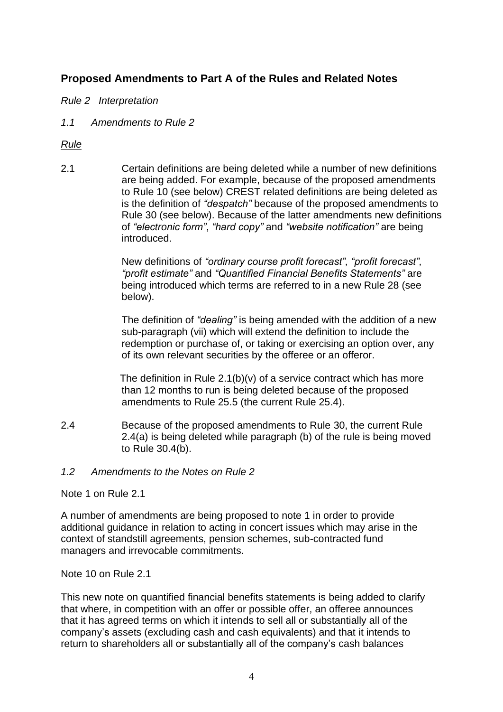# **Proposed Amendments to Part A of the Rules and Related Notes**

*Rule 2 Interpretation*

*1.1 Amendments to Rule 2*

*Rule*

2.1 Certain definitions are being deleted while a number of new definitions are being added. For example, because of the proposed amendments to Rule 10 (see below) CREST related definitions are being deleted as is the definition of *"despatch"* because of the proposed amendments to Rule 30 (see below). Because of the latter amendments new definitions of *"electronic form"*, *"hard copy"* and *"website notification"* are being introduced.

> New definitions of *"ordinary course profit forecast", "profit forecast", "profit estimate"* and *"Quantified Financial Benefits Statements"* are being introduced which terms are referred to in a new Rule 28 (see below).

The definition of *"dealing"* is being amended with the addition of a new sub-paragraph (vii) which will extend the definition to include the redemption or purchase of, or taking or exercising an option over, any of its own relevant securities by the offeree or an offeror.

 The definition in Rule 2.1(b)(v) of a service contract which has more than 12 months to run is being deleted because of the proposed amendments to Rule 25.5 (the current Rule 25.4).

2.4 Because of the proposed amendments to Rule 30, the current Rule 2.4(a) is being deleted while paragraph (b) of the rule is being moved to Rule 30.4(b).

#### *1.2 Amendments to the Notes on Rule 2*

Note 1 on Rule 2.1

A number of amendments are being proposed to note 1 in order to provide additional guidance in relation to acting in concert issues which may arise in the context of standstill agreements, pension schemes, sub-contracted fund managers and irrevocable commitments.

Note 10 on Rule 2.1

This new note on quantified financial benefits statements is being added to clarify that where, in competition with an offer or possible offer, an offeree announces that it has agreed terms on which it intends to sell all or substantially all of the company's assets (excluding cash and cash equivalents) and that it intends to return to shareholders all or substantially all of the company's cash balances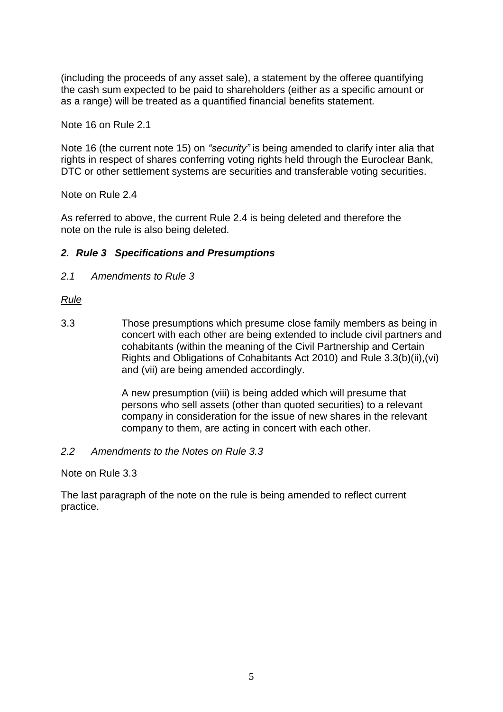(including the proceeds of any asset sale), a statement by the offeree quantifying the cash sum expected to be paid to shareholders (either as a specific amount or as a range) will be treated as a quantified financial benefits statement.

Note 16 on Rule 2.1

Note 16 (the current note 15) on *"security"* is being amended to clarify inter alia that rights in respect of shares conferring voting rights held through the Euroclear Bank, DTC or other settlement systems are securities and transferable voting securities.

Note on Rule 2.4

As referred to above, the current Rule 2.4 is being deleted and therefore the note on the rule is also being deleted.

#### *2. Rule 3 Specifications and Presumptions*

*2.1 Amendments to Rule 3*

#### *Rule*

3.3 Those presumptions which presume close family members as being in concert with each other are being extended to include civil partners and cohabitants (within the meaning of the Civil Partnership and Certain Rights and Obligations of Cohabitants Act 2010) and Rule 3.3(b)(ii),(vi) and (vii) are being amended accordingly.

> A new presumption (viii) is being added which will presume that persons who sell assets (other than quoted securities) to a relevant company in consideration for the issue of new shares in the relevant company to them, are acting in concert with each other.

#### *2.2 Amendments to the Notes on Rule 3.3*

Note on Rule 3.3

The last paragraph of the note on the rule is being amended to reflect current practice.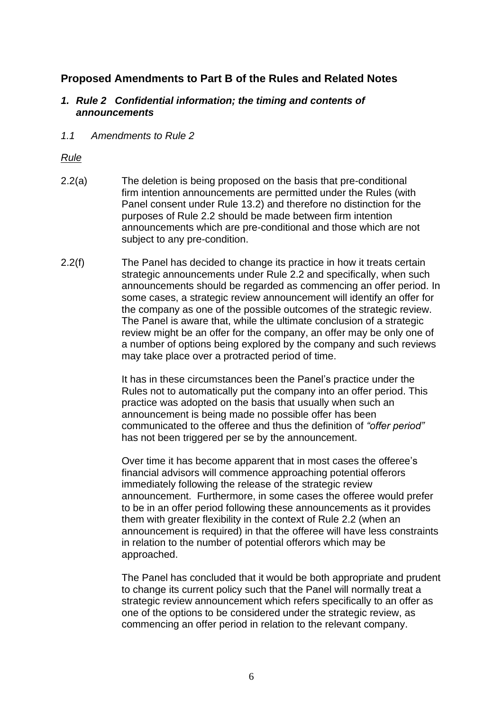# **Proposed Amendments to Part B of the Rules and Related Notes**

#### *1. Rule 2 Confidential information; the timing and contents of announcements*

*1.1 Amendments to Rule 2*

# *Rule*

- 2.2(a) The deletion is being proposed on the basis that pre-conditional firm intention announcements are permitted under the Rules (with Panel consent under Rule 13.2) and therefore no distinction for the purposes of Rule 2.2 should be made between firm intention announcements which are pre-conditional and those which are not subject to any pre-condition.
- 2.2(f) The Panel has decided to change its practice in how it treats certain strategic announcements under Rule 2.2 and specifically, when such announcements should be regarded as commencing an offer period. In some cases, a strategic review announcement will identify an offer for the company as one of the possible outcomes of the strategic review. The Panel is aware that, while the ultimate conclusion of a strategic review might be an offer for the company, an offer may be only one of a number of options being explored by the company and such reviews may take place over a protracted period of time.

It has in these circumstances been the Panel's practice under the Rules not to automatically put the company into an offer period. This practice was adopted on the basis that usually when such an announcement is being made no possible offer has been communicated to the offeree and thus the definition of *"offer period"* has not been triggered per se by the announcement.

Over time it has become apparent that in most cases the offeree's financial advisors will commence approaching potential offerors immediately following the release of the strategic review announcement. Furthermore, in some cases the offeree would prefer to be in an offer period following these announcements as it provides them with greater flexibility in the context of Rule 2.2 (when an announcement is required) in that the offeree will have less constraints in relation to the number of potential offerors which may be approached.

The Panel has concluded that it would be both appropriate and prudent to change its current policy such that the Panel will normally treat a strategic review announcement which refers specifically to an offer as one of the options to be considered under the strategic review, as commencing an offer period in relation to the relevant company.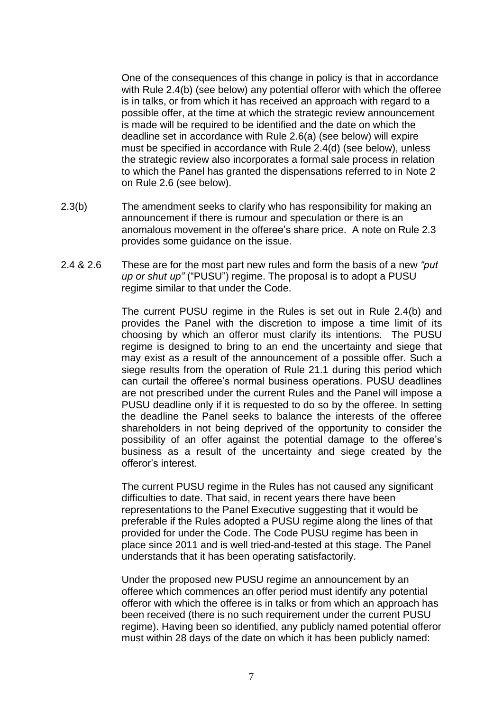One of the consequences of this change in policy is that in accordance with Rule 2.4(b) (see below) any potential offeror with which the offeree is in talks, or from which it has received an approach with regard to a possible offer, at the time at which the strategic review announcement is made will be required to be identified and the date on which the deadline set in accordance with Rule 2.6(a) (see below) will expire must be specified in accordance with Rule 2.4(d) (see below), unless the strategic review also incorporates a formal sale process in relation to which the Panel has granted the dispensations referred to in Note 2 on Rule 2.6 (see below).

- 2.3(b) The amendment seeks to clarify who has responsibility for making an announcement if there is rumour and speculation or there is an anomalous movement in the offeree's share price. A note on Rule 2.3 provides some guidance on the issue.
- 2.4 & 2.6 These are for the most part new rules and form the basis of a new *"put up or shut up"* ("PUSU") regime. The proposal is to adopt a PUSU regime similar to that under the Code.

The current PUSU regime in the Rules is set out in Rule 2.4(b) and provides the Panel with the discretion to impose a time limit of its choosing by which an offeror must clarify its intentions. The PUSU regime is designed to bring to an end the uncertainty and siege that may exist as a result of the announcement of a possible offer. Such a siege results from the operation of Rule 21.1 during this period which can curtail the offeree's normal business operations. PUSU deadlines are not prescribed under the current Rules and the Panel will impose a PUSU deadline only if it is requested to do so by the offeree. In setting the deadline the Panel seeks to balance the interests of the offeree shareholders in not being deprived of the opportunity to consider the possibility of an offer against the potential damage to the offeree's business as a result of the uncertainty and siege created by the offeror's interest.

The current PUSU regime in the Rules has not caused any significant difficulties to date. That said, in recent years there have been representations to the Panel Executive suggesting that it would be preferable if the Rules adopted a PUSU regime along the lines of that provided for under the Code. The Code PUSU regime has been in place since 2011 and is well tried-and-tested at this stage. The Panel understands that it has been operating satisfactorily.

Under the proposed new PUSU regime an announcement by an offeree which commences an offer period must identify any potential offeror with which the offeree is in talks or from which an approach has been received (there is no such requirement under the current PUSU regime). Having been so identified, any publicly named potential offeror must within 28 days of the date on which it has been publicly named: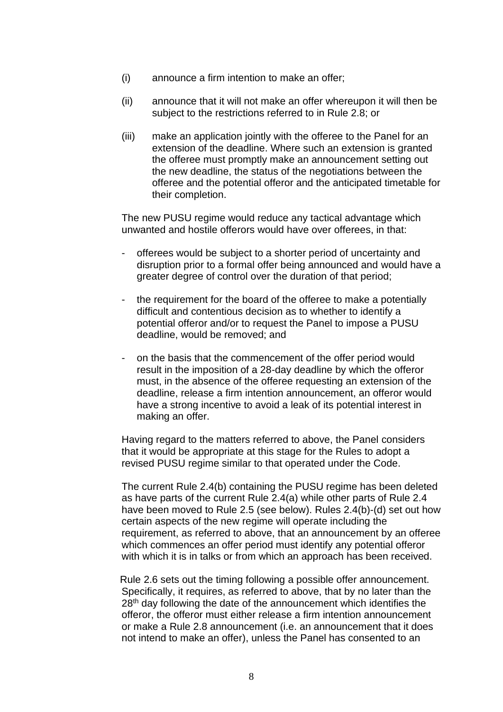- (i) announce a firm intention to make an offer;
- (ii) announce that it will not make an offer whereupon it will then be subject to the restrictions referred to in Rule 2.8; or
- (iii) make an application jointly with the offeree to the Panel for an extension of the deadline. Where such an extension is granted the offeree must promptly make an announcement setting out the new deadline, the status of the negotiations between the offeree and the potential offeror and the anticipated timetable for their completion.

The new PUSU regime would reduce any tactical advantage which unwanted and hostile offerors would have over offerees, in that:

- offerees would be subject to a shorter period of uncertainty and disruption prior to a formal offer being announced and would have a greater degree of control over the duration of that period;
- the requirement for the board of the offeree to make a potentially difficult and contentious decision as to whether to identify a potential offeror and/or to request the Panel to impose a PUSU deadline, would be removed; and
- on the basis that the commencement of the offer period would result in the imposition of a 28-day deadline by which the offeror must, in the absence of the offeree requesting an extension of the deadline, release a firm intention announcement, an offeror would have a strong incentive to avoid a leak of its potential interest in making an offer.

Having regard to the matters referred to above, the Panel considers that it would be appropriate at this stage for the Rules to adopt a revised PUSU regime similar to that operated under the Code.

The current Rule 2.4(b) containing the PUSU regime has been deleted as have parts of the current Rule 2.4(a) while other parts of Rule 2.4 have been moved to Rule 2.5 (see below). Rules 2.4(b)-(d) set out how certain aspects of the new regime will operate including the requirement, as referred to above, that an announcement by an offeree which commences an offer period must identify any potential offeror with which it is in talks or from which an approach has been received.

 Rule 2.6 sets out the timing following a possible offer announcement. Specifically, it requires, as referred to above, that by no later than the 28<sup>th</sup> day following the date of the announcement which identifies the offeror, the offeror must either release a firm intention announcement or make a Rule 2.8 announcement (i.e. an announcement that it does not intend to make an offer), unless the Panel has consented to an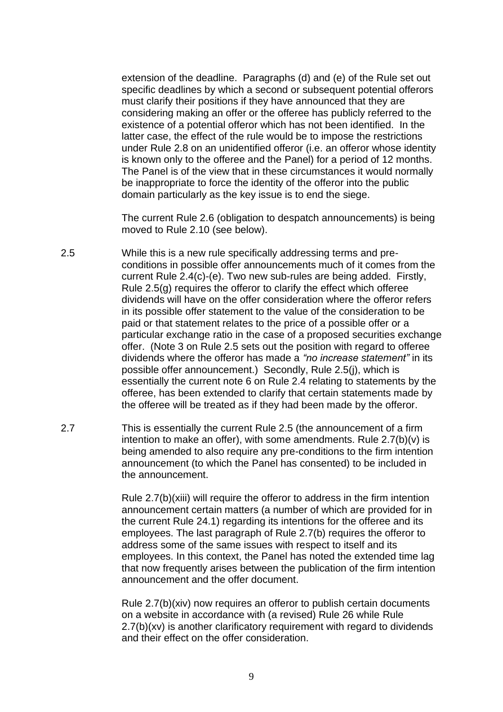extension of the deadline. Paragraphs (d) and (e) of the Rule set out specific deadlines by which a second or subsequent potential offerors must clarify their positions if they have announced that they are considering making an offer or the offeree has publicly referred to the existence of a potential offeror which has not been identified. In the latter case, the effect of the rule would be to impose the restrictions under Rule 2.8 on an unidentified offeror (i.e. an offeror whose identity is known only to the offeree and the Panel) for a period of 12 months. The Panel is of the view that in these circumstances it would normally be inappropriate to force the identity of the offeror into the public domain particularly as the key issue is to end the siege.

The current Rule 2.6 (obligation to despatch announcements) is being moved to Rule 2.10 (see below).

- 2.5 While this is a new rule specifically addressing terms and preconditions in possible offer announcements much of it comes from the current Rule 2.4(c)-(e). Two new sub-rules are being added. Firstly, Rule 2.5(g) requires the offeror to clarify the effect which offeree dividends will have on the offer consideration where the offeror refers in its possible offer statement to the value of the consideration to be paid or that statement relates to the price of a possible offer or a particular exchange ratio in the case of a proposed securities exchange offer. (Note 3 on Rule 2.5 sets out the position with regard to offeree dividends where the offeror has made a *"no increase statement"* in its possible offer announcement.) Secondly, Rule 2.5(j), which is essentially the current note 6 on Rule 2.4 relating to statements by the offeree, has been extended to clarify that certain statements made by the offeree will be treated as if they had been made by the offeror.
- 2.7 This is essentially the current Rule 2.5 (the announcement of a firm intention to make an offer), with some amendments. Rule  $2.7(b)(v)$  is being amended to also require any pre-conditions to the firm intention announcement (to which the Panel has consented) to be included in the announcement.

Rule 2.7(b)(xiii) will require the offeror to address in the firm intention announcement certain matters (a number of which are provided for in the current Rule 24.1) regarding its intentions for the offeree and its employees. The last paragraph of Rule 2.7(b) requires the offeror to address some of the same issues with respect to itself and its employees. In this context, the Panel has noted the extended time lag that now frequently arises between the publication of the firm intention announcement and the offer document.

Rule 2.7(b)(xiv) now requires an offeror to publish certain documents on a website in accordance with (a revised) Rule 26 while Rule 2.7(b)(xv) is another clarificatory requirement with regard to dividends and their effect on the offer consideration.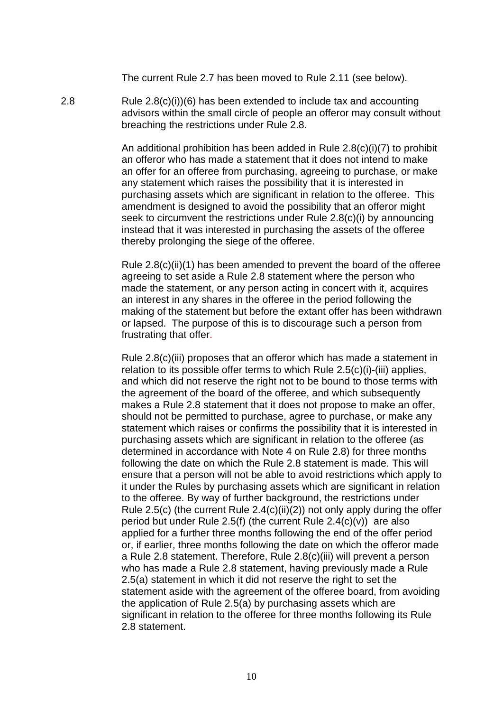The current Rule 2.7 has been moved to Rule 2.11 (see below).

2.8 Rule 2.8(c)(i))(6) has been extended to include tax and accounting advisors within the small circle of people an offeror may consult without breaching the restrictions under Rule 2.8.

> An additional prohibition has been added in Rule 2.8(c)(i)(7) to prohibit an offeror who has made a statement that it does not intend to make an offer for an offeree from purchasing, agreeing to purchase, or make any statement which raises the possibility that it is interested in purchasing assets which are significant in relation to the offeree. This amendment is designed to avoid the possibility that an offeror might seek to circumvent the restrictions under Rule 2.8(c)(i) by announcing instead that it was interested in purchasing the assets of the offeree thereby prolonging the siege of the offeree.

Rule 2.8(c)(ii)(1) has been amended to prevent the board of the offeree agreeing to set aside a Rule 2.8 statement where the person who made the statement, or any person acting in concert with it, acquires an interest in any shares in the offeree in the period following the making of the statement but before the extant offer has been withdrawn or lapsed. The purpose of this is to discourage such a person from frustrating that offer.

Rule 2.8(c)(iii) proposes that an offeror which has made a statement in relation to its possible offer terms to which Rule 2.5(c)(i)-(iii) applies, and which did not reserve the right not to be bound to those terms with the agreement of the board of the offeree, and which subsequently makes a Rule 2.8 statement that it does not propose to make an offer, should not be permitted to purchase, agree to purchase, or make any statement which raises or confirms the possibility that it is interested in purchasing assets which are significant in relation to the offeree (as determined in accordance with Note 4 on Rule 2.8) for three months following the date on which the Rule 2.8 statement is made. This will ensure that a person will not be able to avoid restrictions which apply to it under the Rules by purchasing assets which are significant in relation to the offeree. By way of further background, the restrictions under Rule 2.5(c) (the current Rule  $2.4(c)(ii)(2)$ ) not only apply during the offer period but under Rule 2.5(f) (the current Rule  $2.4(c)(v)$ ) are also applied for a further three months following the end of the offer period or, if earlier, three months following the date on which the offeror made a Rule 2.8 statement. Therefore, Rule 2.8(c)(iii) will prevent a person who has made a Rule 2.8 statement, having previously made a Rule 2.5(a) statement in which it did not reserve the right to set the statement aside with the agreement of the offeree board, from avoiding the application of Rule 2.5(a) by purchasing assets which are significant in relation to the offeree for three months following its Rule 2.8 statement.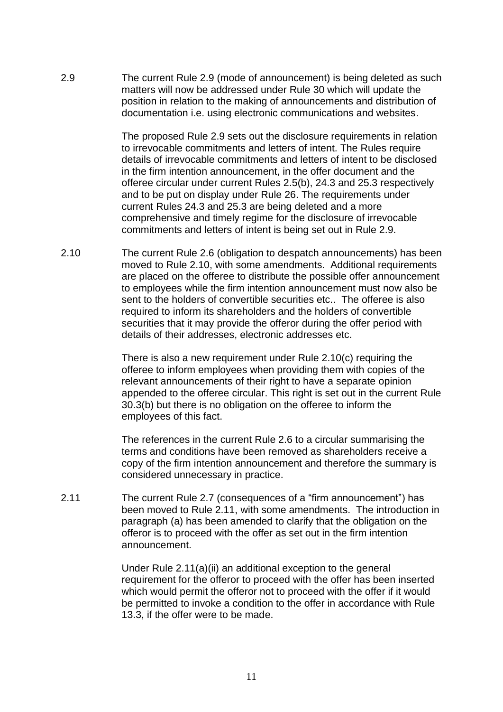2.9 The current Rule 2.9 (mode of announcement) is being deleted as such matters will now be addressed under Rule 30 which will update the position in relation to the making of announcements and distribution of documentation i.e. using electronic communications and websites.

> The proposed Rule 2.9 sets out the disclosure requirements in relation to irrevocable commitments and letters of intent. The Rules require details of irrevocable commitments and letters of intent to be disclosed in the firm intention announcement, in the offer document and the offeree circular under current Rules 2.5(b), 24.3 and 25.3 respectively and to be put on display under Rule 26. The requirements under current Rules 24.3 and 25.3 are being deleted and a more comprehensive and timely regime for the disclosure of irrevocable commitments and letters of intent is being set out in Rule 2.9.

2.10 The current Rule 2.6 (obligation to despatch announcements) has been moved to Rule 2.10, with some amendments. Additional requirements are placed on the offeree to distribute the possible offer announcement to employees while the firm intention announcement must now also be sent to the holders of convertible securities etc.. The offeree is also required to inform its shareholders and the holders of convertible securities that it may provide the offeror during the offer period with details of their addresses, electronic addresses etc.

> There is also a new requirement under Rule 2.10(c) requiring the offeree to inform employees when providing them with copies of the relevant announcements of their right to have a separate opinion appended to the offeree circular. This right is set out in the current Rule 30.3(b) but there is no obligation on the offeree to inform the employees of this fact.

The references in the current Rule 2.6 to a circular summarising the terms and conditions have been removed as shareholders receive a copy of the firm intention announcement and therefore the summary is considered unnecessary in practice.

2.11 The current Rule 2.7 (consequences of a "firm announcement") has been moved to Rule 2.11, with some amendments. The introduction in paragraph (a) has been amended to clarify that the obligation on the offeror is to proceed with the offer as set out in the firm intention announcement.

> Under Rule 2.11(a)(ii) an additional exception to the general requirement for the offeror to proceed with the offer has been inserted which would permit the offeror not to proceed with the offer if it would be permitted to invoke a condition to the offer in accordance with Rule 13.3, if the offer were to be made.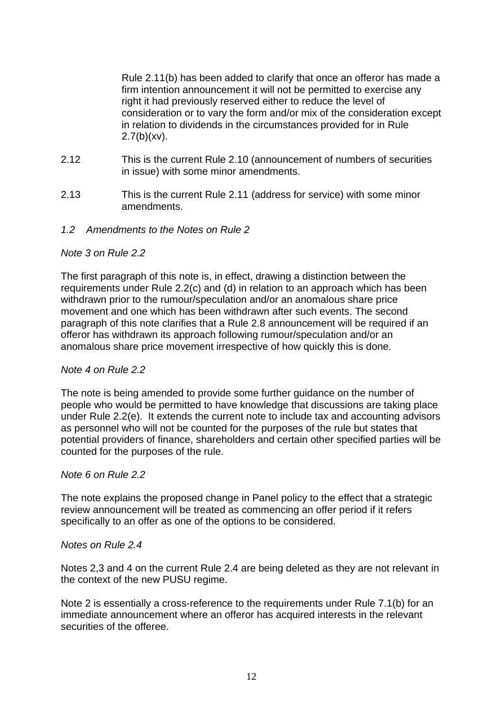Rule 2.11(b) has been added to clarify that once an offeror has made a firm intention announcement it will not be permitted to exercise any right it had previously reserved either to reduce the level of consideration or to vary the form and/or mix of the consideration except in relation to dividends in the circumstances provided for in Rule  $2.7(b)(xv)$ .

- 2.12 This is the current Rule 2.10 (announcement of numbers of securities in issue) with some minor amendments.
- 2.13 This is the current Rule 2.11 (address for service) with some minor amendments.
- *1.2 Amendments to the Notes on Rule 2*

# *Note 3 on Rule 2.2*

The first paragraph of this note is, in effect, drawing a distinction between the requirements under Rule 2.2(c) and (d) in relation to an approach which has been withdrawn prior to the rumour/speculation and/or an anomalous share price movement and one which has been withdrawn after such events. The second paragraph of this note clarifies that a Rule 2.8 announcement will be required if an offeror has withdrawn its approach following rumour/speculation and/or an anomalous share price movement irrespective of how quickly this is done.

#### *Note 4 on Rule 2.2*

The note is being amended to provide some further guidance on the number of people who would be permitted to have knowledge that discussions are taking place under Rule 2.2(e). It extends the current note to include tax and accounting advisors as personnel who will not be counted for the purposes of the rule but states that potential providers of finance, shareholders and certain other specified parties will be counted for the purposes of the rule.

#### *Note 6 on Rule 2.2*

The note explains the proposed change in Panel policy to the effect that a strategic review announcement will be treated as commencing an offer period if it refers specifically to an offer as one of the options to be considered.

#### *Notes on Rule 2.4*

Notes 2,3 and 4 on the current Rule 2.4 are being deleted as they are not relevant in the context of the new PUSU regime.

Note 2 is essentially a cross-reference to the requirements under Rule 7.1(b) for an immediate announcement where an offeror has acquired interests in the relevant securities of the offeree.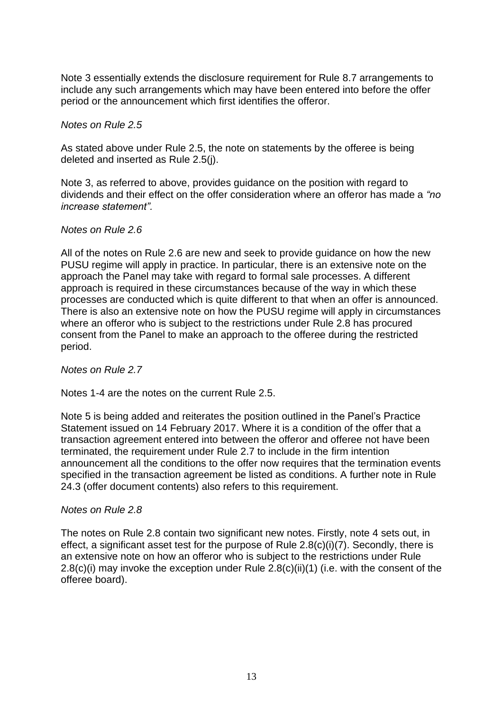Note 3 essentially extends the disclosure requirement for Rule 8.7 arrangements to include any such arrangements which may have been entered into before the offer period or the announcement which first identifies the offeror.

#### *Notes on Rule 2.5*

As stated above under Rule 2.5, the note on statements by the offeree is being deleted and inserted as Rule 2.5(j).

Note 3, as referred to above, provides guidance on the position with regard to dividends and their effect on the offer consideration where an offeror has made a *"no increase statement".*

#### *Notes on Rule 2.6*

All of the notes on Rule 2.6 are new and seek to provide guidance on how the new PUSU regime will apply in practice. In particular, there is an extensive note on the approach the Panel may take with regard to formal sale processes. A different approach is required in these circumstances because of the way in which these processes are conducted which is quite different to that when an offer is announced. There is also an extensive note on how the PUSU regime will apply in circumstances where an offeror who is subject to the restrictions under Rule 2.8 has procured consent from the Panel to make an approach to the offeree during the restricted period.

*Notes on Rule 2.7*

Notes 1-4 are the notes on the current Rule 2.5.

Note 5 is being added and reiterates the position outlined in the Panel's Practice Statement issued on 14 February 2017. Where it is a condition of the offer that a transaction agreement entered into between the offeror and offeree not have been terminated, the requirement under Rule 2.7 to include in the firm intention announcement all the conditions to the offer now requires that the termination events specified in the transaction agreement be listed as conditions. A further note in Rule 24.3 (offer document contents) also refers to this requirement.

#### *Notes on Rule 2.8*

The notes on Rule 2.8 contain two significant new notes. Firstly, note 4 sets out, in effect, a significant asset test for the purpose of Rule 2.8(c)(i)(7). Secondly, there is an extensive note on how an offeror who is subject to the restrictions under Rule 2.8(c)(i) may invoke the exception under Rule 2.8(c)(ii)(1) (i.e. with the consent of the offeree board).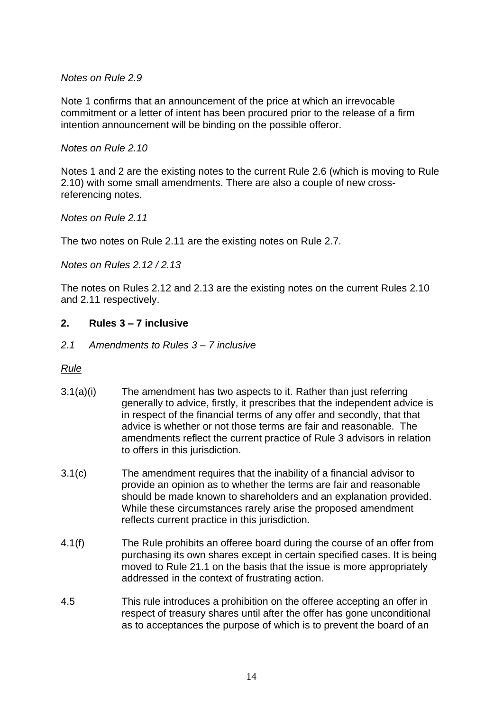*Notes on Rule 2.9*

Note 1 confirms that an announcement of the price at which an irrevocable commitment or a letter of intent has been procured prior to the release of a firm intention announcement will be binding on the possible offeror.

*Notes on Rule 2.10*

Notes 1 and 2 are the existing notes to the current Rule 2.6 (which is moving to Rule 2.10) with some small amendments. There are also a couple of new crossreferencing notes.

*Notes on Rule 2.11*

The two notes on Rule 2.11 are the existing notes on Rule 2.7.

*Notes on Rules 2.12 / 2.13*

The notes on Rules 2.12 and 2.13 are the existing notes on the current Rules 2.10 and 2.11 respectively.

#### **2. Rules 3 – 7 inclusive**

*2.1 Amendments to Rules 3 – 7 inclusive*

*Rule*

- 3.1(a)(i) The amendment has two aspects to it. Rather than just referring generally to advice, firstly, it prescribes that the independent advice is in respect of the financial terms of any offer and secondly, that that advice is whether or not those terms are fair and reasonable. The amendments reflect the current practice of Rule 3 advisors in relation to offers in this jurisdiction.
- 3.1(c) The amendment requires that the inability of a financial advisor to provide an opinion as to whether the terms are fair and reasonable should be made known to shareholders and an explanation provided. While these circumstances rarely arise the proposed amendment reflects current practice in this jurisdiction.
- 4.1(f) The Rule prohibits an offeree board during the course of an offer from purchasing its own shares except in certain specified cases. It is being moved to Rule 21.1 on the basis that the issue is more appropriately addressed in the context of frustrating action.
- 4.5 This rule introduces a prohibition on the offeree accepting an offer in respect of treasury shares until after the offer has gone unconditional as to acceptances the purpose of which is to prevent the board of an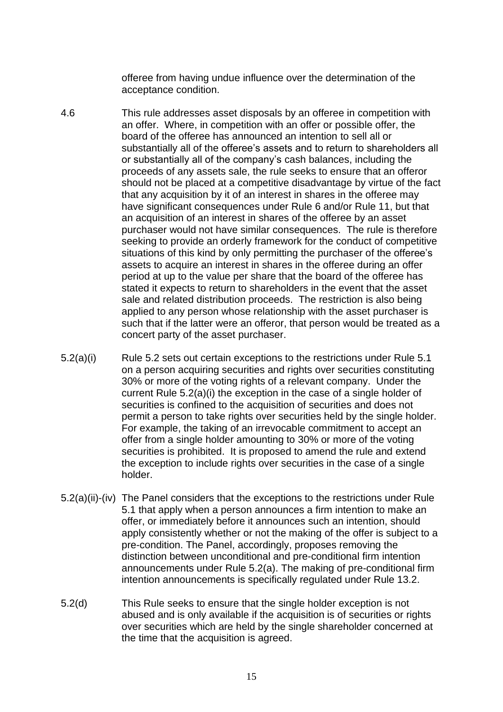offeree from having undue influence over the determination of the acceptance condition.

- 4.6 This rule addresses asset disposals by an offeree in competition with an offer. Where, in competition with an offer or possible offer, the board of the offeree has announced an intention to sell all or substantially all of the offeree's assets and to return to shareholders all or substantially all of the company's cash balances, including the proceeds of any assets sale, the rule seeks to ensure that an offeror should not be placed at a competitive disadvantage by virtue of the fact that any acquisition by it of an interest in shares in the offeree may have significant consequences under Rule 6 and/or Rule 11, but that an acquisition of an interest in shares of the offeree by an asset purchaser would not have similar consequences. The rule is therefore seeking to provide an orderly framework for the conduct of competitive situations of this kind by only permitting the purchaser of the offeree's assets to acquire an interest in shares in the offeree during an offer period at up to the value per share that the board of the offeree has stated it expects to return to shareholders in the event that the asset sale and related distribution proceeds. The restriction is also being applied to any person whose relationship with the asset purchaser is such that if the latter were an offeror, that person would be treated as a concert party of the asset purchaser.
- 5.2(a)(i) Rule 5.2 sets out certain exceptions to the restrictions under Rule 5.1 on a person acquiring securities and rights over securities constituting 30% or more of the voting rights of a relevant company. Under the current Rule 5.2(a)(i) the exception in the case of a single holder of securities is confined to the acquisition of securities and does not permit a person to take rights over securities held by the single holder. For example, the taking of an irrevocable commitment to accept an offer from a single holder amounting to 30% or more of the voting securities is prohibited. It is proposed to amend the rule and extend the exception to include rights over securities in the case of a single holder.
- 5.2(a)(ii)-(iv) The Panel considers that the exceptions to the restrictions under Rule 5.1 that apply when a person announces a firm intention to make an offer, or immediately before it announces such an intention, should apply consistently whether or not the making of the offer is subject to a pre-condition. The Panel, accordingly, proposes removing the distinction between unconditional and pre-conditional firm intention announcements under Rule 5.2(a). The making of pre-conditional firm intention announcements is specifically regulated under Rule 13.2.
- 5.2(d) This Rule seeks to ensure that the single holder exception is not abused and is only available if the acquisition is of securities or rights over securities which are held by the single shareholder concerned at the time that the acquisition is agreed.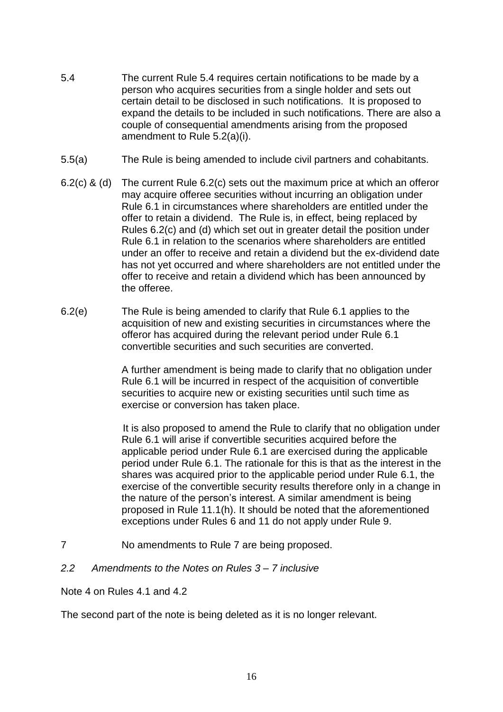- 5.4 The current Rule 5.4 requires certain notifications to be made by a person who acquires securities from a single holder and sets out certain detail to be disclosed in such notifications. It is proposed to expand the details to be included in such notifications. There are also a couple of consequential amendments arising from the proposed amendment to Rule 5.2(a)(i).
- 5.5(a) The Rule is being amended to include civil partners and cohabitants.
- 6.2(c) & (d) The current Rule 6.2(c) sets out the maximum price at which an offeror may acquire offeree securities without incurring an obligation under Rule 6.1 in circumstances where shareholders are entitled under the offer to retain a dividend. The Rule is, in effect, being replaced by Rules 6.2(c) and (d) which set out in greater detail the position under Rule 6.1 in relation to the scenarios where shareholders are entitled under an offer to receive and retain a dividend but the ex-dividend date has not yet occurred and where shareholders are not entitled under the offer to receive and retain a dividend which has been announced by the offeree.
- 6.2(e) The Rule is being amended to clarify that Rule 6.1 applies to the acquisition of new and existing securities in circumstances where the offeror has acquired during the relevant period under Rule 6.1 convertible securities and such securities are converted.

A further amendment is being made to clarify that no obligation under Rule 6.1 will be incurred in respect of the acquisition of convertible securities to acquire new or existing securities until such time as exercise or conversion has taken place.

 It is also proposed to amend the Rule to clarify that no obligation under Rule 6.1 will arise if convertible securities acquired before the applicable period under Rule 6.1 are exercised during the applicable period under Rule 6.1. The rationale for this is that as the interest in the shares was acquired prior to the applicable period under Rule 6.1, the exercise of the convertible security results therefore only in a change in the nature of the person's interest. A similar amendment is being proposed in Rule 11.1(h). It should be noted that the aforementioned exceptions under Rules 6 and 11 do not apply under Rule 9.

- 7 No amendments to Rule 7 are being proposed.
- *2.2 Amendments to the Notes on Rules 3 – 7 inclusive*

Note 4 on Rules 4.1 and 4.2

The second part of the note is being deleted as it is no longer relevant.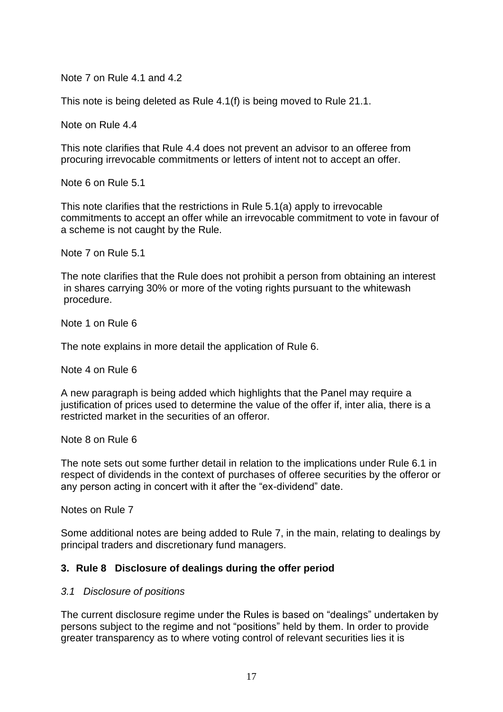Note 7 on Rule 4.1 and 4.2

This note is being deleted as Rule 4.1(f) is being moved to Rule 21.1.

Note on Rule 4.4

This note clarifies that Rule 4.4 does not prevent an advisor to an offeree from procuring irrevocable commitments or letters of intent not to accept an offer.

Note 6 on Rule 5.1

This note clarifies that the restrictions in Rule 5.1(a) apply to irrevocable commitments to accept an offer while an irrevocable commitment to vote in favour of a scheme is not caught by the Rule.

Note 7 on Rule 5.1

The note clarifies that the Rule does not prohibit a person from obtaining an interest in shares carrying 30% or more of the voting rights pursuant to the whitewash procedure.

Note 1 on Rule 6

The note explains in more detail the application of Rule 6.

Note 4 on Rule 6

A new paragraph is being added which highlights that the Panel may require a justification of prices used to determine the value of the offer if, inter alia, there is a restricted market in the securities of an offeror.

Note 8 on Rule 6

The note sets out some further detail in relation to the implications under Rule 6.1 in respect of dividends in the context of purchases of offeree securities by the offeror or any person acting in concert with it after the "ex-dividend" date.

Notes on Rule 7

Some additional notes are being added to Rule 7, in the main, relating to dealings by principal traders and discretionary fund managers.

#### **3. Rule 8 Disclosure of dealings during the offer period**

#### *3.1 Disclosure of positions*

The current disclosure regime under the Rules is based on "dealings" undertaken by persons subject to the regime and not "positions" held by them. In order to provide greater transparency as to where voting control of relevant securities lies it is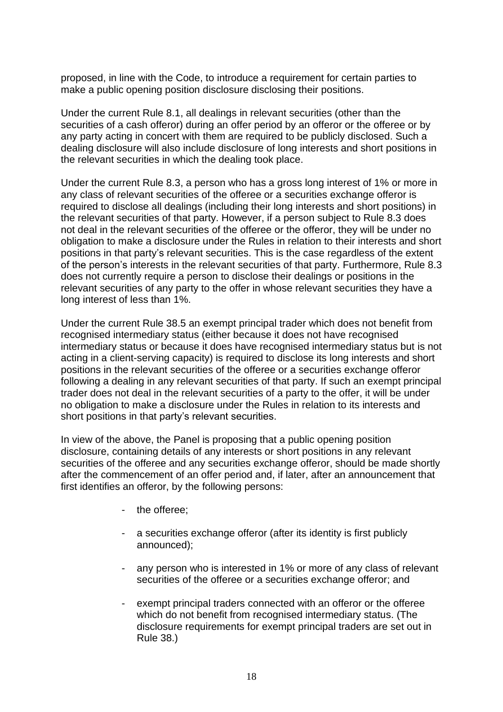proposed, in line with the Code, to introduce a requirement for certain parties to make a public opening position disclosure disclosing their positions.

Under the current Rule 8.1, all dealings in relevant securities (other than the securities of a cash offeror) during an offer period by an offeror or the offeree or by any party acting in concert with them are required to be publicly disclosed. Such a dealing disclosure will also include disclosure of long interests and short positions in the relevant securities in which the dealing took place.

Under the current Rule 8.3, a person who has a gross long interest of 1% or more in any class of relevant securities of the offeree or a securities exchange offeror is required to disclose all dealings (including their long interests and short positions) in the relevant securities of that party. However, if a person subject to Rule 8.3 does not deal in the relevant securities of the offeree or the offeror, they will be under no obligation to make a disclosure under the Rules in relation to their interests and short positions in that party's relevant securities. This is the case regardless of the extent of the person's interests in the relevant securities of that party. Furthermore, Rule 8.3 does not currently require a person to disclose their dealings or positions in the relevant securities of any party to the offer in whose relevant securities they have a long interest of less than 1%.

Under the current Rule 38.5 an exempt principal trader which does not benefit from recognised intermediary status (either because it does not have recognised intermediary status or because it does have recognised intermediary status but is not acting in a client-serving capacity) is required to disclose its long interests and short positions in the relevant securities of the offeree or a securities exchange offeror following a dealing in any relevant securities of that party. If such an exempt principal trader does not deal in the relevant securities of a party to the offer, it will be under no obligation to make a disclosure under the Rules in relation to its interests and short positions in that party's relevant securities.

In view of the above, the Panel is proposing that a public opening position disclosure, containing details of any interests or short positions in any relevant securities of the offeree and any securities exchange offeror, should be made shortly after the commencement of an offer period and, if later, after an announcement that first identifies an offeror, by the following persons:

- the offeree;
- a securities exchange offeror (after its identity is first publicly announced);
- any person who is interested in 1% or more of any class of relevant securities of the offeree or a securities exchange offeror; and
- exempt principal traders connected with an offeror or the offeree which do not benefit from recognised intermediary status. (The disclosure requirements for exempt principal traders are set out in Rule 38.)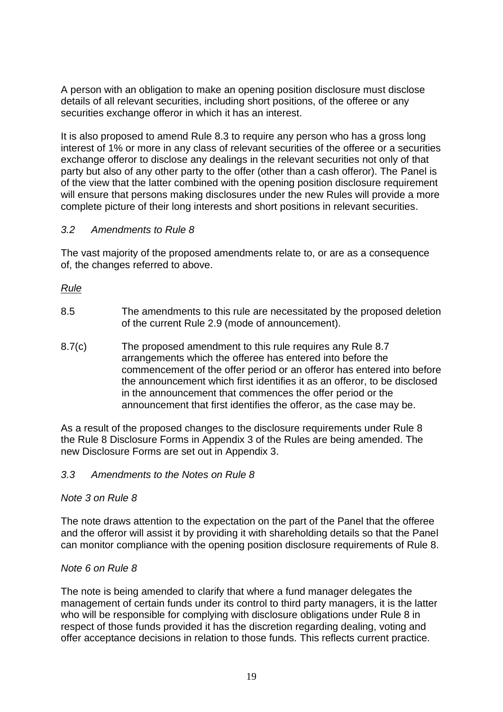A person with an obligation to make an opening position disclosure must disclose details of all relevant securities, including short positions, of the offeree or any securities exchange offeror in which it has an interest.

It is also proposed to amend Rule 8.3 to require any person who has a gross long interest of 1% or more in any class of relevant securities of the offeree or a securities exchange offeror to disclose any dealings in the relevant securities not only of that party but also of any other party to the offer (other than a cash offeror). The Panel is of the view that the latter combined with the opening position disclosure requirement will ensure that persons making disclosures under the new Rules will provide a more complete picture of their long interests and short positions in relevant securities.

# *3.2 Amendments to Rule 8*

The vast majority of the proposed amendments relate to, or are as a consequence of, the changes referred to above.

# *Rule*

- 8.5 The amendments to this rule are necessitated by the proposed deletion of the current Rule 2.9 (mode of announcement).
- 8.7(c) The proposed amendment to this rule requires any Rule 8.7 arrangements which the offeree has entered into before the commencement of the offer period or an offeror has entered into before the announcement which first identifies it as an offeror, to be disclosed in the announcement that commences the offer period or the announcement that first identifies the offeror, as the case may be.

As a result of the proposed changes to the disclosure requirements under Rule 8 the Rule 8 Disclosure Forms in Appendix 3 of the Rules are being amended. The new Disclosure Forms are set out in Appendix 3.

#### *3.3 Amendments to the Notes on Rule 8*

#### *Note 3 on Rule 8*

The note draws attention to the expectation on the part of the Panel that the offeree and the offeror will assist it by providing it with shareholding details so that the Panel can monitor compliance with the opening position disclosure requirements of Rule 8.

#### *Note 6 on Rule 8*

The note is being amended to clarify that where a fund manager delegates the management of certain funds under its control to third party managers, it is the latter who will be responsible for complying with disclosure obligations under Rule 8 in respect of those funds provided it has the discretion regarding dealing, voting and offer acceptance decisions in relation to those funds. This reflects current practice.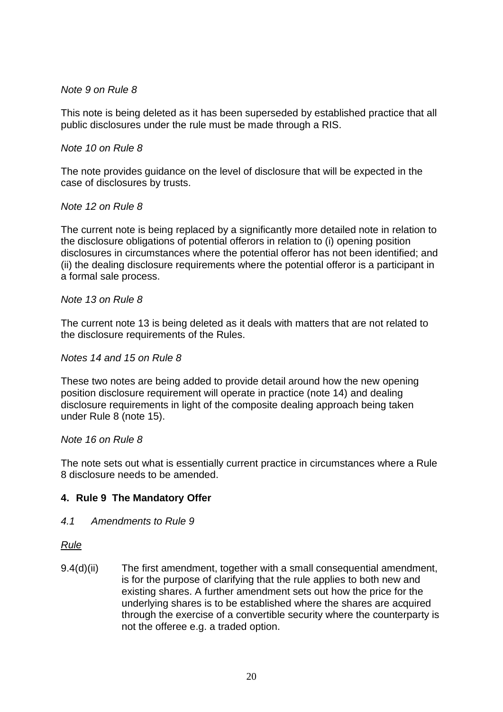# *Note 9 on Rule 8*

This note is being deleted as it has been superseded by established practice that all public disclosures under the rule must be made through a RIS.

#### *Note 10 on Rule 8*

The note provides guidance on the level of disclosure that will be expected in the case of disclosures by trusts.

#### *Note 12 on Rule 8*

The current note is being replaced by a significantly more detailed note in relation to the disclosure obligations of potential offerors in relation to (i) opening position disclosures in circumstances where the potential offeror has not been identified; and (ii) the dealing disclosure requirements where the potential offeror is a participant in a formal sale process.

#### *Note 13 on Rule 8*

The current note 13 is being deleted as it deals with matters that are not related to the disclosure requirements of the Rules.

#### *Notes 14 and 15 on Rule 8*

These two notes are being added to provide detail around how the new opening position disclosure requirement will operate in practice (note 14) and dealing disclosure requirements in light of the composite dealing approach being taken under Rule 8 (note 15).

#### *Note 16 on Rule 8*

The note sets out what is essentially current practice in circumstances where a Rule 8 disclosure needs to be amended.

#### **4. Rule 9 The Mandatory Offer**

#### *4.1 Amendments to Rule 9*

#### *Rule*

9.4(d)(ii) The first amendment, together with a small consequential amendment, is for the purpose of clarifying that the rule applies to both new and existing shares. A further amendment sets out how the price for the underlying shares is to be established where the shares are acquired through the exercise of a convertible security where the counterparty is not the offeree e.g. a traded option.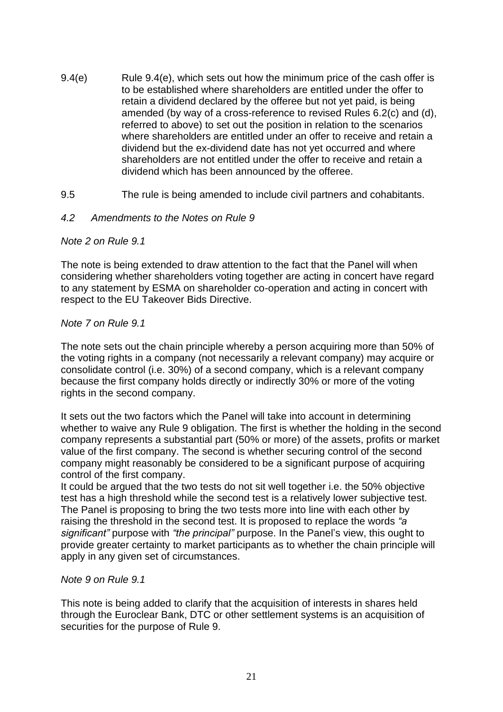- 9.4(e) Rule 9.4(e), which sets out how the minimum price of the cash offer is to be established where shareholders are entitled under the offer to retain a dividend declared by the offeree but not yet paid, is being amended (by way of a cross-reference to revised Rules 6.2(c) and (d), referred to above) to set out the position in relation to the scenarios where shareholders are entitled under an offer to receive and retain a dividend but the ex-dividend date has not yet occurred and where shareholders are not entitled under the offer to receive and retain a dividend which has been announced by the offeree.
- 9.5 The rule is being amended to include civil partners and cohabitants.

#### *4.2 Amendments to the Notes on Rule 9*

#### *Note 2 on Rule 9.1*

The note is being extended to draw attention to the fact that the Panel will when considering whether shareholders voting together are acting in concert have regard to any statement by ESMA on shareholder co-operation and acting in concert with respect to the EU Takeover Bids Directive.

#### *Note 7 on Rule 9.1*

The note sets out the chain principle whereby a person acquiring more than 50% of the voting rights in a company (not necessarily a relevant company) may acquire or consolidate control (i.e. 30%) of a second company, which is a relevant company because the first company holds directly or indirectly 30% or more of the voting rights in the second company.

It sets out the two factors which the Panel will take into account in determining whether to waive any Rule 9 obligation. The first is whether the holding in the second company represents a substantial part (50% or more) of the assets, profits or market value of the first company. The second is whether securing control of the second company might reasonably be considered to be a significant purpose of acquiring control of the first company.

It could be argued that the two tests do not sit well together i.e. the 50% objective test has a high threshold while the second test is a relatively lower subjective test. The Panel is proposing to bring the two tests more into line with each other by raising the threshold in the second test. It is proposed to replace the words *"a significant"* purpose with *"the principal"* purpose. In the Panel's view, this ought to provide greater certainty to market participants as to whether the chain principle will apply in any given set of circumstances.

#### *Note 9 on Rule 9.1*

This note is being added to clarify that the acquisition of interests in shares held through the Euroclear Bank, DTC or other settlement systems is an acquisition of securities for the purpose of Rule 9.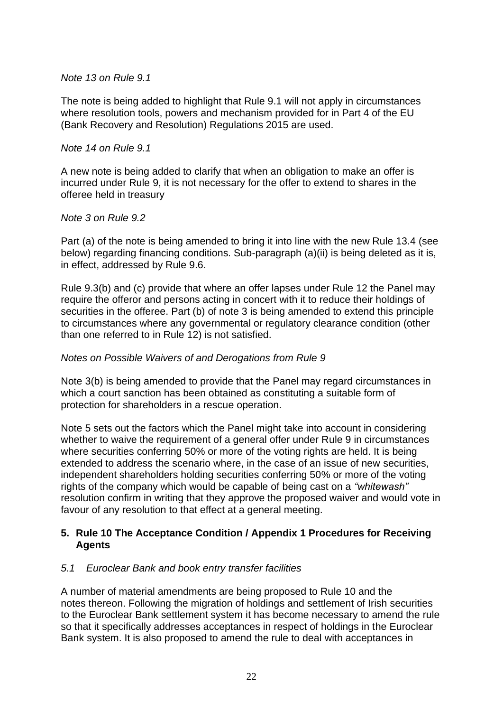*Note 13 on Rule 9.1*

The note is being added to highlight that Rule 9.1 will not apply in circumstances where resolution tools, powers and mechanism provided for in Part 4 of the EU (Bank Recovery and Resolution) Regulations 2015 are used.

#### *Note 14 on Rule 9.1*

A new note is being added to clarify that when an obligation to make an offer is incurred under Rule 9, it is not necessary for the offer to extend to shares in the offeree held in treasury

#### *Note 3 on Rule 9.2*

Part (a) of the note is being amended to bring it into line with the new Rule 13.4 (see below) regarding financing conditions. Sub-paragraph (a)(ii) is being deleted as it is, in effect, addressed by Rule 9.6.

Rule 9.3(b) and (c) provide that where an offer lapses under Rule 12 the Panel may require the offeror and persons acting in concert with it to reduce their holdings of securities in the offeree. Part (b) of note 3 is being amended to extend this principle to circumstances where any governmental or regulatory clearance condition (other than one referred to in Rule 12) is not satisfied.

#### *Notes on Possible Waivers of and Derogations from Rule 9*

Note 3(b) is being amended to provide that the Panel may regard circumstances in which a court sanction has been obtained as constituting a suitable form of protection for shareholders in a rescue operation.

Note 5 sets out the factors which the Panel might take into account in considering whether to waive the requirement of a general offer under Rule 9 in circumstances where securities conferring 50% or more of the voting rights are held. It is being extended to address the scenario where, in the case of an issue of new securities, independent shareholders holding securities conferring 50% or more of the voting rights of the company which would be capable of being cast on a *"whitewash"* resolution confirm in writing that they approve the proposed waiver and would vote in favour of any resolution to that effect at a general meeting.

# **5. Rule 10 The Acceptance Condition / Appendix 1 Procedures for Receiving Agents**

#### *5.1 Euroclear Bank and book entry transfer facilities*

A number of material amendments are being proposed to Rule 10 and the notes thereon. Following the migration of holdings and settlement of Irish securities to the Euroclear Bank settlement system it has become necessary to amend the rule so that it specifically addresses acceptances in respect of holdings in the Euroclear Bank system. It is also proposed to amend the rule to deal with acceptances in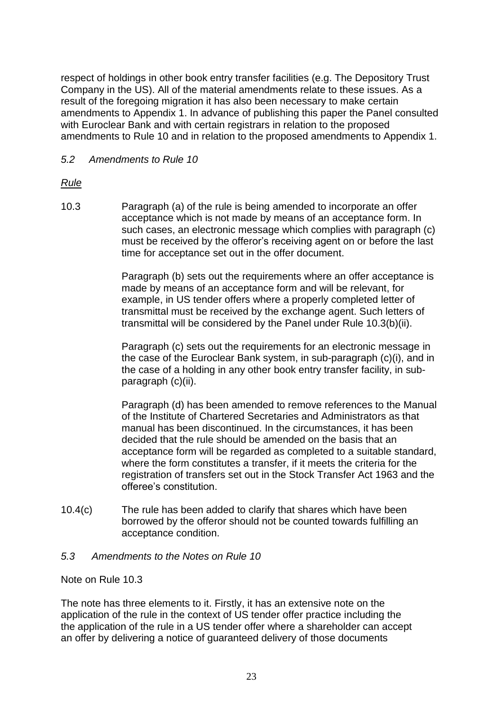respect of holdings in other book entry transfer facilities (e.g. The Depository Trust Company in the US). All of the material amendments relate to these issues. As a result of the foregoing migration it has also been necessary to make certain amendments to Appendix 1. In advance of publishing this paper the Panel consulted with Euroclear Bank and with certain registrars in relation to the proposed amendments to Rule 10 and in relation to the proposed amendments to Appendix 1.

# *5.2 Amendments to Rule 10*

# *Rule*

10.3 Paragraph (a) of the rule is being amended to incorporate an offer acceptance which is not made by means of an acceptance form. In such cases, an electronic message which complies with paragraph (c) must be received by the offeror's receiving agent on or before the last time for acceptance set out in the offer document.

> Paragraph (b) sets out the requirements where an offer acceptance is made by means of an acceptance form and will be relevant, for example, in US tender offers where a properly completed letter of transmittal must be received by the exchange agent. Such letters of transmittal will be considered by the Panel under Rule 10.3(b)(ii).

> Paragraph (c) sets out the requirements for an electronic message in the case of the Euroclear Bank system, in sub-paragraph (c)(i), and in the case of a holding in any other book entry transfer facility, in subparagraph (c)(ii).

> Paragraph (d) has been amended to remove references to the Manual of the Institute of Chartered Secretaries and Administrators as that manual has been discontinued. In the circumstances, it has been decided that the rule should be amended on the basis that an acceptance form will be regarded as completed to a suitable standard, where the form constitutes a transfer, if it meets the criteria for the registration of transfers set out in the Stock Transfer Act 1963 and the offeree's constitution.

10.4(c) The rule has been added to clarify that shares which have been borrowed by the offeror should not be counted towards fulfilling an acceptance condition.

#### *5.3 Amendments to the Notes on Rule 10*

#### Note on Rule 10.3

The note has three elements to it. Firstly, it has an extensive note on the application of the rule in the context of US tender offer practice including the the application of the rule in a US tender offer where a shareholder can accept an offer by delivering a notice of guaranteed delivery of those documents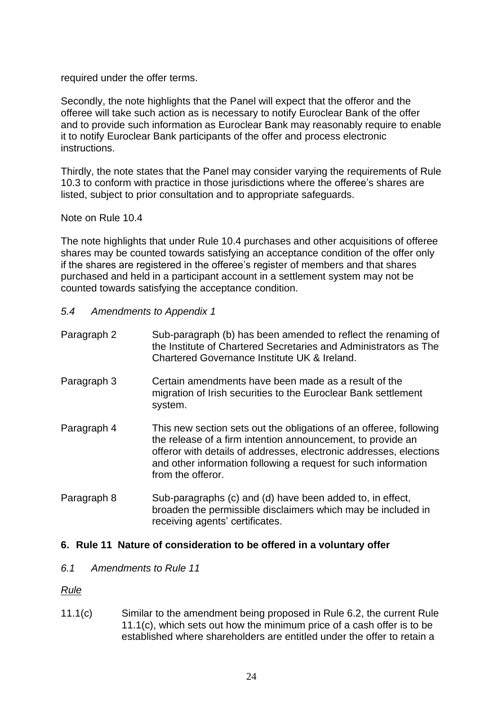required under the offer terms.

Secondly, the note highlights that the Panel will expect that the offeror and the offeree will take such action as is necessary to notify Euroclear Bank of the offer and to provide such information as Euroclear Bank may reasonably require to enable it to notify Euroclear Bank participants of the offer and process electronic instructions.

Thirdly, the note states that the Panel may consider varying the requirements of Rule 10.3 to conform with practice in those jurisdictions where the offeree's shares are listed, subject to prior consultation and to appropriate safeguards.

Note on Rule 10.4

The note highlights that under Rule 10.4 purchases and other acquisitions of offeree shares may be counted towards satisfying an acceptance condition of the offer only if the shares are registered in the offeree's register of members and that shares purchased and held in a participant account in a settlement system may not be counted towards satisfying the acceptance condition.

- *5.4 Amendments to Appendix 1*
- Paragraph 2 Sub-paragraph (b) has been amended to reflect the renaming of the Institute of Chartered Secretaries and Administrators as The Chartered Governance Institute UK & Ireland.
- Paragraph 3 Certain amendments have been made as a result of the migration of Irish securities to the Euroclear Bank settlement system.
- Paragraph 4 This new section sets out the obligations of an offeree, following the release of a firm intention announcement, to provide an offeror with details of addresses, electronic addresses, elections and other information following a request for such information from the offeror.
- Paragraph 8 Sub-paragraphs (c) and (d) have been added to, in effect, broaden the permissible disclaimers which may be included in receiving agents' certificates.

#### **6. Rule 11 Nature of consideration to be offered in a voluntary offer**

*6.1 Amendments to Rule 11*

*Rule*

11.1(c) Similar to the amendment being proposed in Rule 6.2, the current Rule 11.1(c), which sets out how the minimum price of a cash offer is to be established where shareholders are entitled under the offer to retain a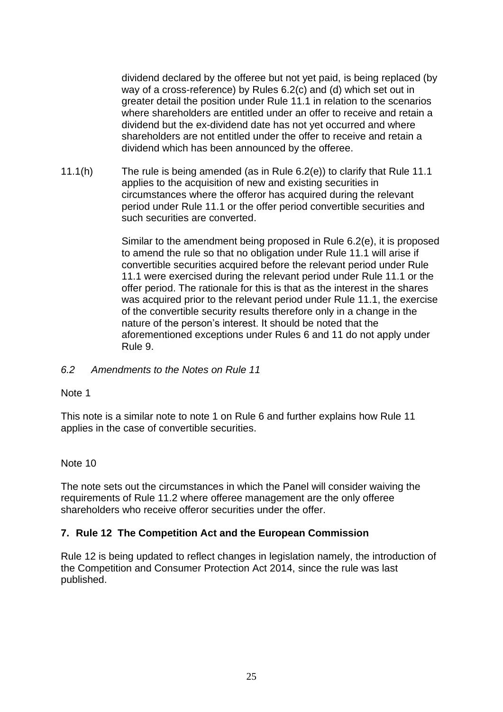dividend declared by the offeree but not yet paid, is being replaced (by way of a cross-reference) by Rules 6.2(c) and (d) which set out in greater detail the position under Rule 11.1 in relation to the scenarios where shareholders are entitled under an offer to receive and retain a dividend but the ex-dividend date has not yet occurred and where shareholders are not entitled under the offer to receive and retain a dividend which has been announced by the offeree.

11.1(h) The rule is being amended (as in Rule 6.2(e)) to clarify that Rule 11.1 applies to the acquisition of new and existing securities in circumstances where the offeror has acquired during the relevant period under Rule 11.1 or the offer period convertible securities and such securities are converted.

> Similar to the amendment being proposed in Rule 6.2(e), it is proposed to amend the rule so that no obligation under Rule 11.1 will arise if convertible securities acquired before the relevant period under Rule 11.1 were exercised during the relevant period under Rule 11.1 or the offer period. The rationale for this is that as the interest in the shares was acquired prior to the relevant period under Rule 11.1, the exercise of the convertible security results therefore only in a change in the nature of the person's interest. It should be noted that the aforementioned exceptions under Rules 6 and 11 do not apply under Rule 9.

#### *6.2 Amendments to the Notes on Rule 11*

#### Note 1

This note is a similar note to note 1 on Rule 6 and further explains how Rule 11 applies in the case of convertible securities.

#### Note 10

The note sets out the circumstances in which the Panel will consider waiving the requirements of Rule 11.2 where offeree management are the only offeree shareholders who receive offeror securities under the offer.

#### **7. Rule 12 The Competition Act and the European Commission**

Rule 12 is being updated to reflect changes in legislation namely, the introduction of the Competition and Consumer Protection Act 2014, since the rule was last published.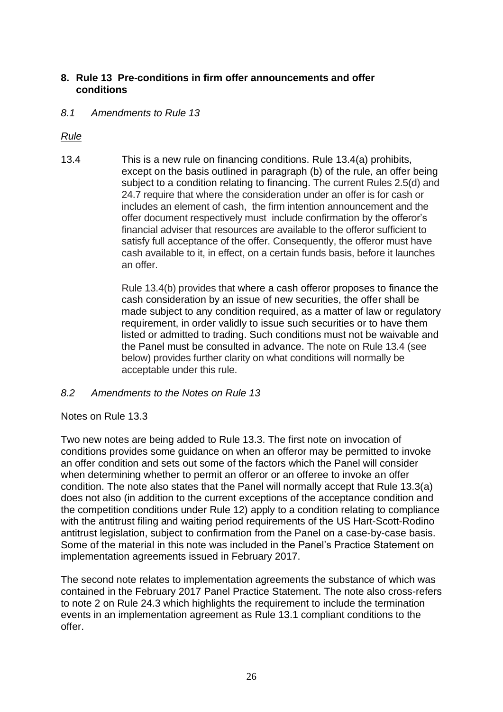# **8. Rule 13 Pre-conditions in firm offer announcements and offer conditions**

*8.1 Amendments to Rule 13*

*Rule*

13.4 This is a new rule on financing conditions. Rule 13.4(a) prohibits, except on the basis outlined in paragraph (b) of the rule, an offer being subject to a condition relating to financing. The current Rules 2.5(d) and 24.7 require that where the consideration under an offer is for cash or includes an element of cash, the firm intention announcement and the offer document respectively must include confirmation by the offeror's financial adviser that resources are available to the offeror sufficient to satisfy full acceptance of the offer. Consequently, the offeror must have cash available to it, in effect, on a certain funds basis, before it launches an offer.

> Rule 13.4(b) provides that where a cash offeror proposes to finance the cash consideration by an issue of new securities, the offer shall be made subject to any condition required, as a matter of law or regulatory requirement, in order validly to issue such securities or to have them listed or admitted to trading. Such conditions must not be waivable and the Panel must be consulted in advance. The note on Rule 13.4 (see below) provides further clarity on what conditions will normally be acceptable under this rule.

*8.2 Amendments to the Notes on Rule 13*

Notes on Rule 13.3

Two new notes are being added to Rule 13.3. The first note on invocation of conditions provides some guidance on when an offeror may be permitted to invoke an offer condition and sets out some of the factors which the Panel will consider when determining whether to permit an offeror or an offeree to invoke an offer condition. The note also states that the Panel will normally accept that Rule 13.3(a) does not also (in addition to the current exceptions of the acceptance condition and the competition conditions under Rule 12) apply to a condition relating to compliance with the antitrust filing and waiting period requirements of the US Hart-Scott-Rodino antitrust legislation, subject to confirmation from the Panel on a case-by-case basis. Some of the material in this note was included in the Panel's Practice Statement on implementation agreements issued in February 2017.

The second note relates to implementation agreements the substance of which was contained in the February 2017 Panel Practice Statement. The note also cross-refers to note 2 on Rule 24.3 which highlights the requirement to include the termination events in an implementation agreement as Rule 13.1 compliant conditions to the offer.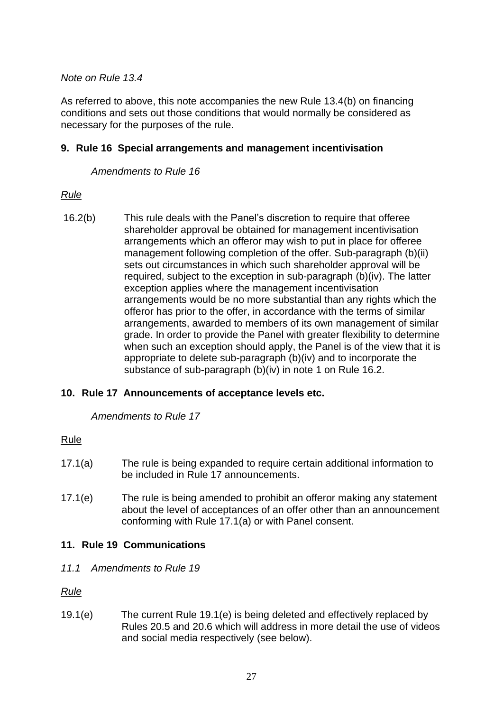#### *Note on Rule 13.4*

As referred to above, this note accompanies the new Rule 13.4(b) on financing conditions and sets out those conditions that would normally be considered as necessary for the purposes of the rule.

#### **9. Rule 16 Special arrangements and management incentivisation**

*Amendments to Rule 16*

# *Rule*

16.2(b) This rule deals with the Panel's discretion to require that offeree shareholder approval be obtained for management incentivisation arrangements which an offeror may wish to put in place for offeree management following completion of the offer. Sub-paragraph (b)(ii) sets out circumstances in which such shareholder approval will be required, subject to the exception in sub-paragraph (b)(iv). The latter exception applies where the management incentivisation arrangements would be no more substantial than any rights which the offeror has prior to the offer, in accordance with the terms of similar arrangements, awarded to members of its own management of similar grade. In order to provide the Panel with greater flexibility to determine when such an exception should apply, the Panel is of the view that it is appropriate to delete sub-paragraph (b)(iv) and to incorporate the substance of sub-paragraph (b)(iv) in note 1 on Rule 16.2.

# **10. Rule 17 Announcements of acceptance levels etc.**

*Amendments to Rule 17*

#### Rule

- 17.1(a) The rule is being expanded to require certain additional information to be included in Rule 17 announcements.
- 17.1(e) The rule is being amended to prohibit an offeror making any statement about the level of acceptances of an offer other than an announcement conforming with Rule 17.1(a) or with Panel consent.

# **11. Rule 19 Communications**

*11.1 Amendments to Rule 19*

*Rule*

19.1(e) The current Rule 19.1(e) is being deleted and effectively replaced by Rules 20.5 and 20.6 which will address in more detail the use of videos and social media respectively (see below).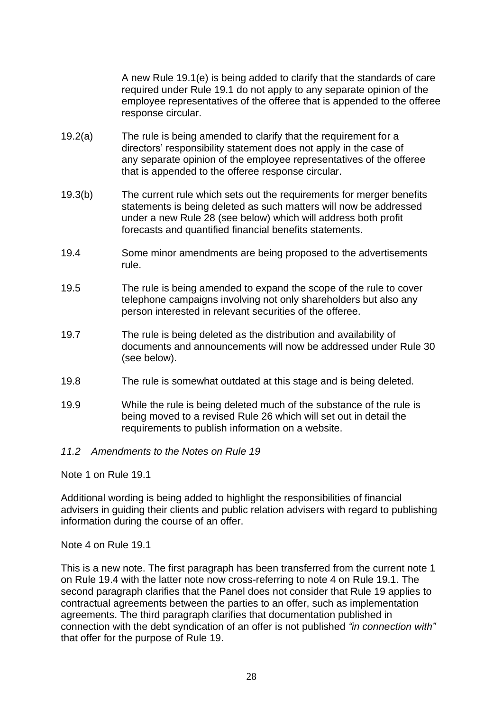A new Rule 19.1(e) is being added to clarify that the standards of care required under Rule 19.1 do not apply to any separate opinion of the employee representatives of the offeree that is appended to the offeree response circular.

- 19.2(a) The rule is being amended to clarify that the requirement for a directors' responsibility statement does not apply in the case of any separate opinion of the employee representatives of the offeree that is appended to the offeree response circular.
- 19.3(b) The current rule which sets out the requirements for merger benefits statements is being deleted as such matters will now be addressed under a new Rule 28 (see below) which will address both profit forecasts and quantified financial benefits statements.
- 19.4 Some minor amendments are being proposed to the advertisements rule.
- 19.5 The rule is being amended to expand the scope of the rule to cover telephone campaigns involving not only shareholders but also any person interested in relevant securities of the offeree.
- 19.7 The rule is being deleted as the distribution and availability of documents and announcements will now be addressed under Rule 30 (see below).
- 19.8 The rule is somewhat outdated at this stage and is being deleted.
- 19.9 While the rule is being deleted much of the substance of the rule is being moved to a revised Rule 26 which will set out in detail the requirements to publish information on a website.
- *11.2 Amendments to the Notes on Rule 19*

Note 1 on Rule 19.1

Additional wording is being added to highlight the responsibilities of financial advisers in guiding their clients and public relation advisers with regard to publishing information during the course of an offer.

Note 4 on Rule 19.1

This is a new note. The first paragraph has been transferred from the current note 1 on Rule 19.4 with the latter note now cross-referring to note 4 on Rule 19.1. The second paragraph clarifies that the Panel does not consider that Rule 19 applies to contractual agreements between the parties to an offer, such as implementation agreements. The third paragraph clarifies that documentation published in connection with the debt syndication of an offer is not published *"in connection with"* that offer for the purpose of Rule 19.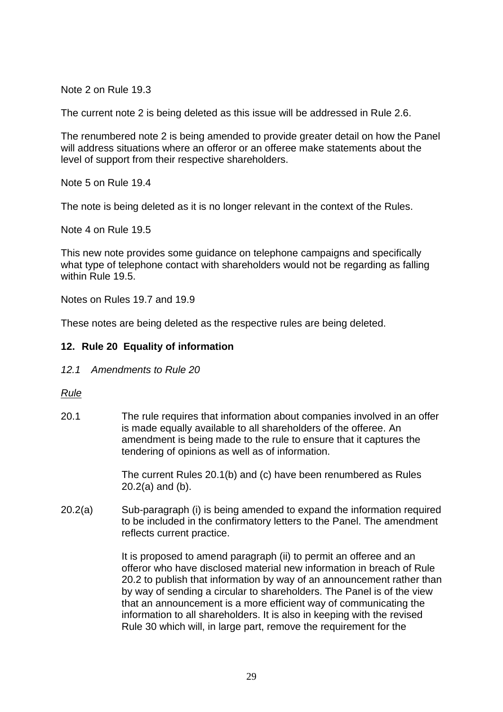Note 2 on Rule 19.3

The current note 2 is being deleted as this issue will be addressed in Rule 2.6.

The renumbered note 2 is being amended to provide greater detail on how the Panel will address situations where an offeror or an offeree make statements about the level of support from their respective shareholders.

Note 5 on Rule 19.4

The note is being deleted as it is no longer relevant in the context of the Rules.

Note 4 on Rule 19.5

This new note provides some guidance on telephone campaigns and specifically what type of telephone contact with shareholders would not be regarding as falling within Rule 19.5.

Notes on Rules 19.7 and 19.9

These notes are being deleted as the respective rules are being deleted.

# **12. Rule 20 Equality of information**

*12.1 Amendments to Rule 20*

#### *Rule*

20.1 The rule requires that information about companies involved in an offer is made equally available to all shareholders of the offeree. An amendment is being made to the rule to ensure that it captures the tendering of opinions as well as of information.

> The current Rules 20.1(b) and (c) have been renumbered as Rules 20.2(a) and (b).

20.2(a) Sub-paragraph (i) is being amended to expand the information required to be included in the confirmatory letters to the Panel. The amendment reflects current practice.

> It is proposed to amend paragraph (ii) to permit an offeree and an offeror who have disclosed material new information in breach of Rule 20.2 to publish that information by way of an announcement rather than by way of sending a circular to shareholders. The Panel is of the view that an announcement is a more efficient way of communicating the information to all shareholders. It is also in keeping with the revised Rule 30 which will, in large part, remove the requirement for the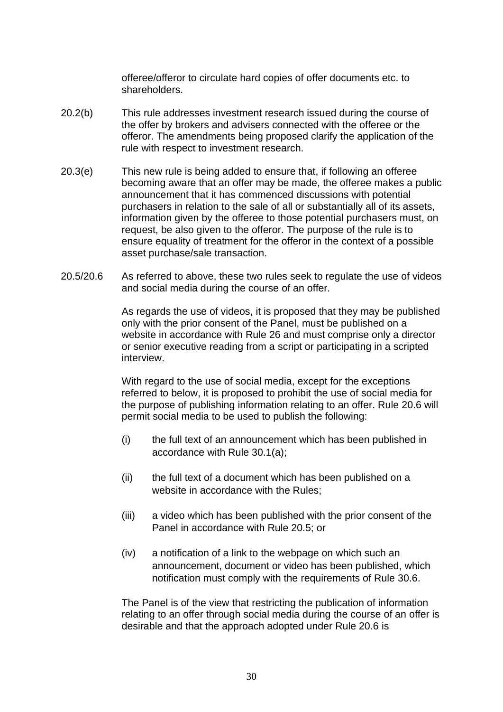offeree/offeror to circulate hard copies of offer documents etc. to shareholders.

- 20.2(b) This rule addresses investment research issued during the course of the offer by brokers and advisers connected with the offeree or the offeror. The amendments being proposed clarify the application of the rule with respect to investment research.
- 20.3(e) This new rule is being added to ensure that, if following an offeree becoming aware that an offer may be made, the offeree makes a public announcement that it has commenced discussions with potential purchasers in relation to the sale of all or substantially all of its assets, information given by the offeree to those potential purchasers must, on request, be also given to the offeror. The purpose of the rule is to ensure equality of treatment for the offeror in the context of a possible asset purchase/sale transaction.
- 20.5/20.6 As referred to above, these two rules seek to regulate the use of videos and social media during the course of an offer.

As regards the use of videos, it is proposed that they may be published only with the prior consent of the Panel, must be published on a website in accordance with Rule 26 and must comprise only a director or senior executive reading from a script or participating in a scripted interview.

With regard to the use of social media, except for the exceptions referred to below, it is proposed to prohibit the use of social media for the purpose of publishing information relating to an offer. Rule 20.6 will permit social media to be used to publish the following:

- (i) the full text of an announcement which has been published in accordance with Rule 30.1(a);
- (ii) the full text of a document which has been published on a website in accordance with the Rules;
- (iii) a video which has been published with the prior consent of the Panel in accordance with Rule 20.5; or
- (iv) a notification of a link to the webpage on which such an announcement, document or video has been published, which notification must comply with the requirements of Rule 30.6.

The Panel is of the view that restricting the publication of information relating to an offer through social media during the course of an offer is desirable and that the approach adopted under Rule 20.6 is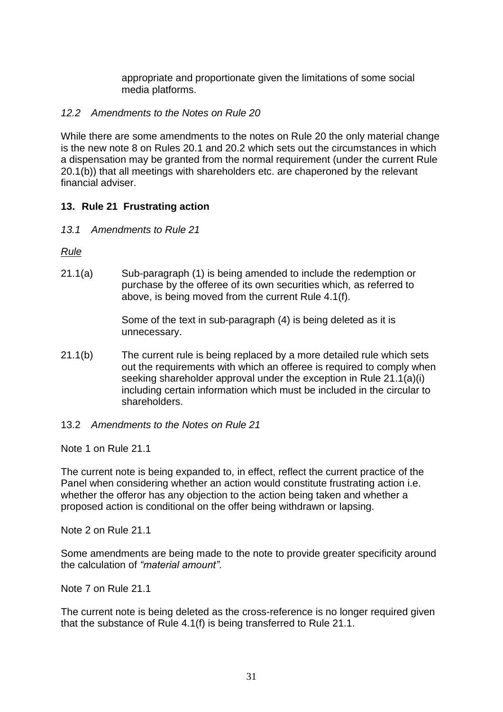appropriate and proportionate given the limitations of some social media platforms.

#### *12.2 Amendments to the Notes on Rule 20*

While there are some amendments to the notes on Rule 20 the only material change is the new note 8 on Rules 20.1 and 20.2 which sets out the circumstances in which a dispensation may be granted from the normal requirement (under the current Rule 20.1(b)) that all meetings with shareholders etc. are chaperoned by the relevant financial adviser.

#### **13. Rule 21 Frustrating action**

*13.1 Amendments to Rule 21*

*Rule*

21.1(a) Sub-paragraph (1) is being amended to include the redemption or purchase by the offeree of its own securities which, as referred to above, is being moved from the current Rule 4.1(f).

> Some of the text in sub-paragraph (4) is being deleted as it is unnecessary.

- 21.1(b) The current rule is being replaced by a more detailed rule which sets out the requirements with which an offeree is required to comply when seeking shareholder approval under the exception in Rule 21.1(a)(i) including certain information which must be included in the circular to shareholders.
- 13.2 *Amendments to the Notes on Rule 21*

Note 1 on Rule 21.1

The current note is being expanded to, in effect, reflect the current practice of the Panel when considering whether an action would constitute frustrating action i.e. whether the offeror has any objection to the action being taken and whether a proposed action is conditional on the offer being withdrawn or lapsing.

Note 2 on Rule 21.1

Some amendments are being made to the note to provide greater specificity around the calculation of *"material amount".*

Note 7 on Rule 21.1

The current note is being deleted as the cross-reference is no longer required given that the substance of Rule 4.1(f) is being transferred to Rule 21.1.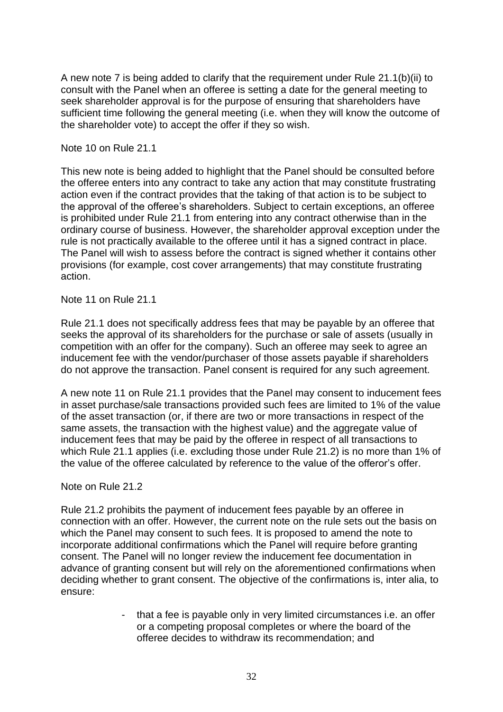A new note 7 is being added to clarify that the requirement under Rule 21.1(b)(ii) to consult with the Panel when an offeree is setting a date for the general meeting to seek shareholder approval is for the purpose of ensuring that shareholders have sufficient time following the general meeting (i.e. when they will know the outcome of the shareholder vote) to accept the offer if they so wish.

Note 10 on Rule 21.1

This new note is being added to highlight that the Panel should be consulted before the offeree enters into any contract to take any action that may constitute frustrating action even if the contract provides that the taking of that action is to be subject to the approval of the offeree's shareholders. Subject to certain exceptions, an offeree is prohibited under Rule 21.1 from entering into any contract otherwise than in the ordinary course of business. However, the shareholder approval exception under the rule is not practically available to the offeree until it has a signed contract in place. The Panel will wish to assess before the contract is signed whether it contains other provisions (for example, cost cover arrangements) that may constitute frustrating action.

Note 11 on Rule 21.1

Rule 21.1 does not specifically address fees that may be payable by an offeree that seeks the approval of its shareholders for the purchase or sale of assets (usually in competition with an offer for the company). Such an offeree may seek to agree an inducement fee with the vendor/purchaser of those assets payable if shareholders do not approve the transaction. Panel consent is required for any such agreement.

A new note 11 on Rule 21.1 provides that the Panel may consent to inducement fees in asset purchase/sale transactions provided such fees are limited to 1% of the value of the asset transaction (or, if there are two or more transactions in respect of the same assets, the transaction with the highest value) and the aggregate value of inducement fees that may be paid by the offeree in respect of all transactions to which Rule 21.1 applies (i.e. excluding those under Rule 21.2) is no more than 1% of the value of the offeree calculated by reference to the value of the offeror's offer.

Note on Rule 21.2

Rule 21.2 prohibits the payment of inducement fees payable by an offeree in connection with an offer. However, the current note on the rule sets out the basis on which the Panel may consent to such fees. It is proposed to amend the note to incorporate additional confirmations which the Panel will require before granting consent. The Panel will no longer review the inducement fee documentation in advance of granting consent but will rely on the aforementioned confirmations when deciding whether to grant consent. The objective of the confirmations is, inter alia, to ensure:

> - that a fee is payable only in very limited circumstances i.e. an offer or a competing proposal completes or where the board of the offeree decides to withdraw its recommendation; and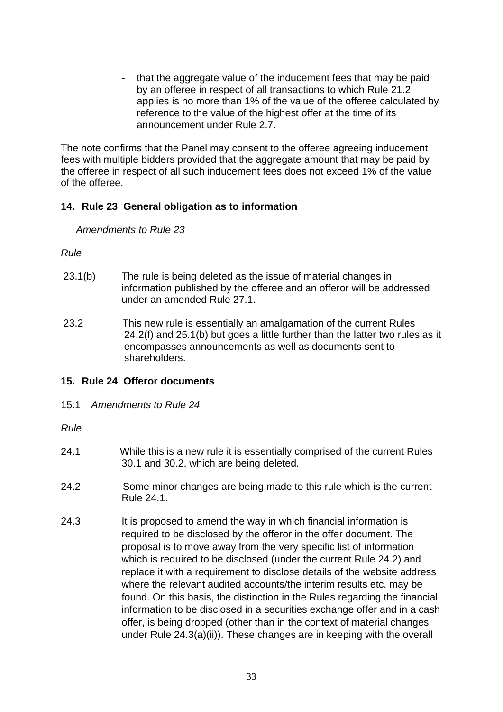that the aggregate value of the inducement fees that may be paid by an offeree in respect of all transactions to which Rule 21.2 applies is no more than 1% of the value of the offeree calculated by reference to the value of the highest offer at the time of its announcement under Rule 2.7.

The note confirms that the Panel may consent to the offeree agreeing inducement fees with multiple bidders provided that the aggregate amount that may be paid by the offeree in respect of all such inducement fees does not exceed 1% of the value of the offeree.

# **14. Rule 23 General obligation as to information**

*Amendments to Rule 23*

#### *Rule*

- 23.1(b) The rule is being deleted as the issue of material changes in information published by the offeree and an offeror will be addressed under an amended Rule 27.1.
- 23.2 This new rule is essentially an amalgamation of the current Rules 24.2(f) and 25.1(b) but goes a little further than the latter two rules as it encompasses announcements as well as documents sent to shareholders.

# **15. Rule 24 Offeror documents**

15.1 *Amendments to Rule 24*

#### *Rule*

- 24.1 While this is a new rule it is essentially comprised of the current Rules 30.1 and 30.2, which are being deleted.
- 24.2 Some minor changes are being made to this rule which is the current Rule 24.1.
- 24.3 It is proposed to amend the way in which financial information is required to be disclosed by the offeror in the offer document. The proposal is to move away from the very specific list of information which is required to be disclosed (under the current Rule 24.2) and replace it with a requirement to disclose details of the website address where the relevant audited accounts/the interim results etc. may be found. On this basis, the distinction in the Rules regarding the financial information to be disclosed in a securities exchange offer and in a cash offer, is being dropped (other than in the context of material changes under Rule 24.3(a)(ii)). These changes are in keeping with the overall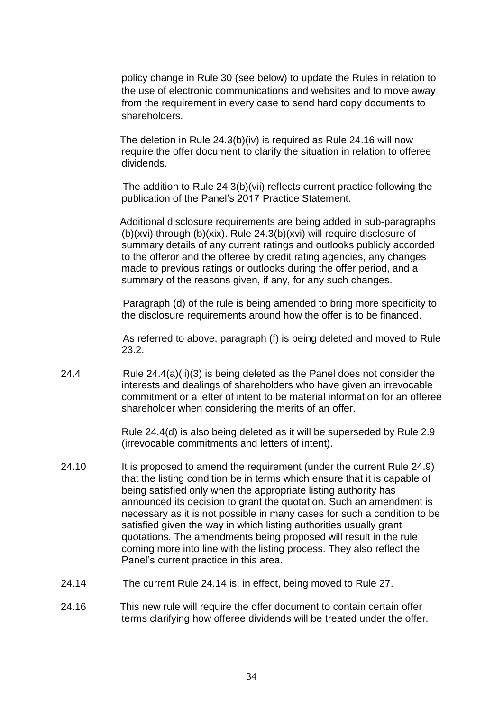policy change in Rule 30 (see below) to update the Rules in relation to the use of electronic communications and websites and to move away from the requirement in every case to send hard copy documents to shareholders.

 The deletion in Rule 24.3(b)(iv) is required as Rule 24.16 will now require the offer document to clarify the situation in relation to offeree dividends.

 The addition to Rule 24.3(b)(vii) reflects current practice following the publication of the Panel's 2017 Practice Statement.

 Additional disclosure requirements are being added in sub-paragraphs (b)(xvi) through (b)(xix). Rule 24.3(b)(xvi) will require disclosure of summary details of any current ratings and outlooks publicly accorded to the offeror and the offeree by credit rating agencies, any changes made to previous ratings or outlooks during the offer period, and a summary of the reasons given, if any, for any such changes.

 Paragraph (d) of the rule is being amended to bring more specificity to the disclosure requirements around how the offer is to be financed.

 As referred to above, paragraph (f) is being deleted and moved to Rule 23.2.

24.4 Rule 24.4(a)(ii)(3) is being deleted as the Panel does not consider the interests and dealings of shareholders who have given an irrevocable commitment or a letter of intent to be material information for an offeree shareholder when considering the merits of an offer.

> Rule 24.4(d) is also being deleted as it will be superseded by Rule 2.9 (irrevocable commitments and letters of intent).

- 24.10 It is proposed to amend the requirement (under the current Rule 24.9) that the listing condition be in terms which ensure that it is capable of being satisfied only when the appropriate listing authority has announced its decision to grant the quotation. Such an amendment is necessary as it is not possible in many cases for such a condition to be satisfied given the way in which listing authorities usually grant quotations. The amendments being proposed will result in the rule coming more into line with the listing process. They also reflect the Panel's current practice in this area.
- 24.14 The current Rule 24.14 is, in effect, being moved to Rule 27.
- 24.16 This new rule will require the offer document to contain certain offer terms clarifying how offeree dividends will be treated under the offer.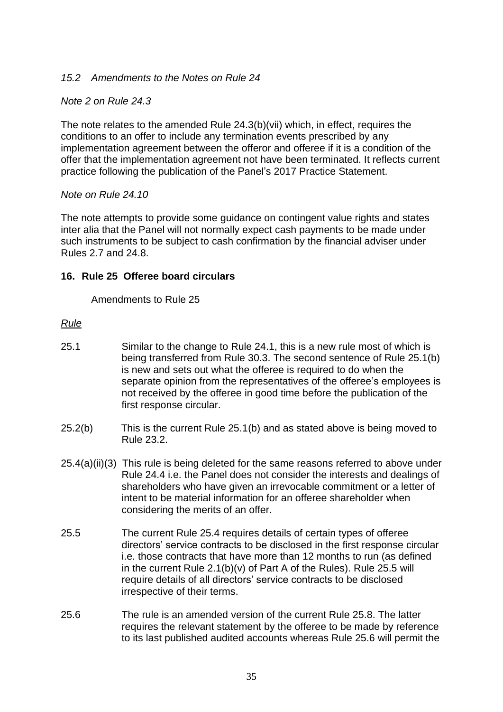# *15.2 Amendments to the Notes on Rule 24*

# *Note 2 on Rule 24.3*

The note relates to the amended Rule 24.3(b)(vii) which, in effect, requires the conditions to an offer to include any termination events prescribed by any implementation agreement between the offeror and offeree if it is a condition of the offer that the implementation agreement not have been terminated. It reflects current practice following the publication of the Panel's 2017 Practice Statement.

#### *Note on Rule 24.10*

The note attempts to provide some guidance on contingent value rights and states inter alia that the Panel will not normally expect cash payments to be made under such instruments to be subject to cash confirmation by the financial adviser under Rules 2.7 and 24.8.

#### **16. Rule 25 Offeree board circulars**

Amendments to Rule 25

#### *Rule*

- 25.1 Similar to the change to Rule 24.1, this is a new rule most of which is being transferred from Rule 30.3. The second sentence of Rule 25.1(b) is new and sets out what the offeree is required to do when the separate opinion from the representatives of the offeree's employees is not received by the offeree in good time before the publication of the first response circular.
- 25.2(b) This is the current Rule 25.1(b) and as stated above is being moved to Rule 23.2.
- 25.4(a)(ii)(3) This rule is being deleted for the same reasons referred to above under Rule 24.4 i.e. the Panel does not consider the interests and dealings of shareholders who have given an irrevocable commitment or a letter of intent to be material information for an offeree shareholder when considering the merits of an offer.
- 25.5 The current Rule 25.4 requires details of certain types of offeree directors' service contracts to be disclosed in the first response circular i.e. those contracts that have more than 12 months to run (as defined in the current Rule 2.1(b)(v) of Part A of the Rules). Rule 25.5 will require details of all directors' service contracts to be disclosed irrespective of their terms.
- 25.6 The rule is an amended version of the current Rule 25.8. The latter requires the relevant statement by the offeree to be made by reference to its last published audited accounts whereas Rule 25.6 will permit the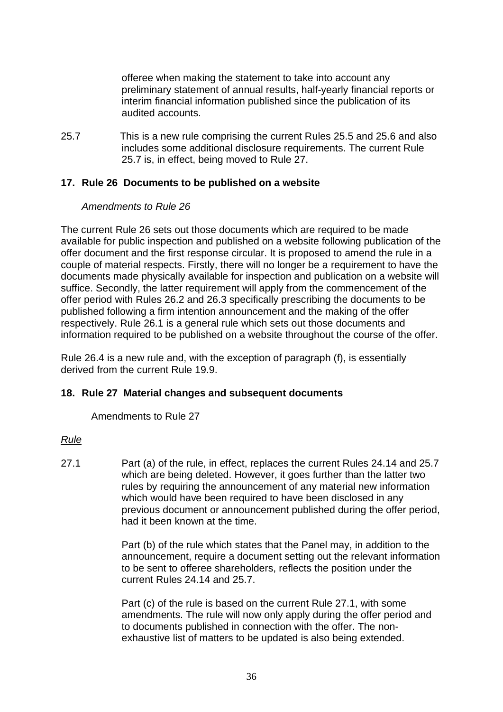offeree when making the statement to take into account any preliminary statement of annual results, half-yearly financial reports or interim financial information published since the publication of its audited accounts.

25.7 This is a new rule comprising the current Rules 25.5 and 25.6 and also includes some additional disclosure requirements. The current Rule 25.7 is, in effect, being moved to Rule 27.

#### **17. Rule 26 Documents to be published on a website**

#### *Amendments to Rule 26*

The current Rule 26 sets out those documents which are required to be made available for public inspection and published on a website following publication of the offer document and the first response circular. It is proposed to amend the rule in a couple of material respects. Firstly, there will no longer be a requirement to have the documents made physically available for inspection and publication on a website will suffice. Secondly, the latter requirement will apply from the commencement of the offer period with Rules 26.2 and 26.3 specifically prescribing the documents to be published following a firm intention announcement and the making of the offer respectively. Rule 26.1 is a general rule which sets out those documents and information required to be published on a website throughout the course of the offer.

Rule 26.4 is a new rule and, with the exception of paragraph (f), is essentially derived from the current Rule 19.9.

#### **18. Rule 27 Material changes and subsequent documents**

Amendments to Rule 27

#### *Rule*

27.1 Part (a) of the rule, in effect, replaces the current Rules 24.14 and 25.7 which are being deleted. However, it goes further than the latter two rules by requiring the announcement of any material new information which would have been required to have been disclosed in any previous document or announcement published during the offer period, had it been known at the time.

> Part (b) of the rule which states that the Panel may, in addition to the announcement, require a document setting out the relevant information to be sent to offeree shareholders, reflects the position under the current Rules 24.14 and 25.7.

Part (c) of the rule is based on the current Rule 27.1, with some amendments. The rule will now only apply during the offer period and to documents published in connection with the offer. The nonexhaustive list of matters to be updated is also being extended.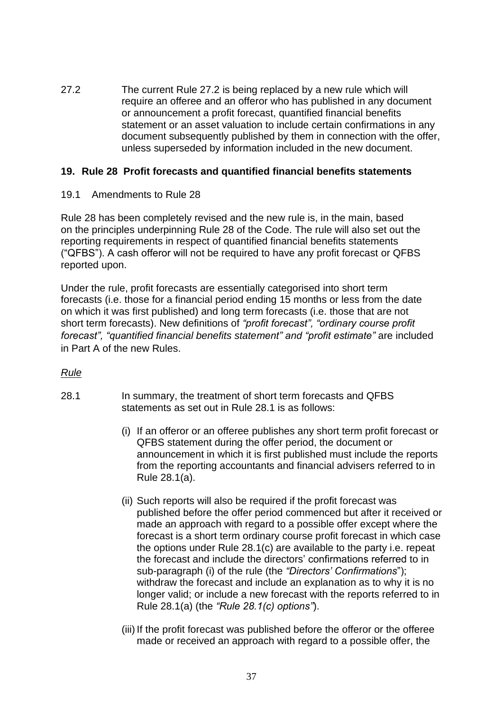27.2 The current Rule 27.2 is being replaced by a new rule which will require an offeree and an offeror who has published in any document or announcement a profit forecast, quantified financial benefits statement or an asset valuation to include certain confirmations in any document subsequently published by them in connection with the offer, unless superseded by information included in the new document.

# **19. Rule 28 Profit forecasts and quantified financial benefits statements**

19.1 Amendments to Rule 28

Rule 28 has been completely revised and the new rule is, in the main, based on the principles underpinning Rule 28 of the Code. The rule will also set out the reporting requirements in respect of quantified financial benefits statements ("QFBS"). A cash offeror will not be required to have any profit forecast or QFBS reported upon.

Under the rule, profit forecasts are essentially categorised into short term forecasts (i.e. those for a financial period ending 15 months or less from the date on which it was first published) and long term forecasts (i.e. those that are not short term forecasts). New definitions of *"profit forecast", "ordinary course profit forecast", "quantified financial benefits statement" and "profit estimate"* are included in Part A of the new Rules.

# *Rule*

- 28.1 In summary, the treatment of short term forecasts and QFBS statements as set out in Rule 28.1 is as follows:
	- (i) If an offeror or an offeree publishes any short term profit forecast or QFBS statement during the offer period, the document or announcement in which it is first published must include the reports from the reporting accountants and financial advisers referred to in Rule 28.1(a).
	- (ii) Such reports will also be required if the profit forecast was published before the offer period commenced but after it received or made an approach with regard to a possible offer except where the forecast is a short term ordinary course profit forecast in which case the options under Rule 28.1(c) are available to the party i.e. repeat the forecast and include the directors' confirmations referred to in sub-paragraph (i) of the rule (the *"Directors' Confirmations*"); withdraw the forecast and include an explanation as to why it is no longer valid; or include a new forecast with the reports referred to in Rule 28.1(a) (the *"Rule 28.1(c) options"*).
	- (iii) If the profit forecast was published before the offeror or the offeree made or received an approach with regard to a possible offer, the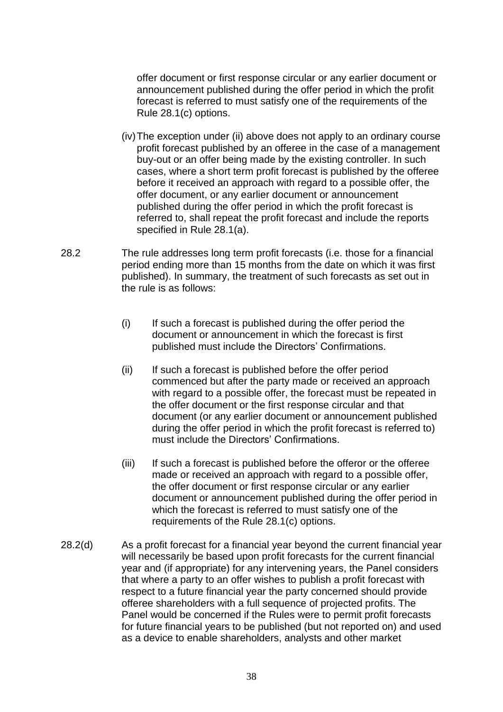offer document or first response circular or any earlier document or announcement published during the offer period in which the profit forecast is referred to must satisfy one of the requirements of the Rule 28.1(c) options.

- (iv)The exception under (ii) above does not apply to an ordinary course profit forecast published by an offeree in the case of a management buy-out or an offer being made by the existing controller. In such cases, where a short term profit forecast is published by the offeree before it received an approach with regard to a possible offer, the offer document, or any earlier document or announcement published during the offer period in which the profit forecast is referred to, shall repeat the profit forecast and include the reports specified in Rule 28.1(a).
- 28.2 The rule addresses long term profit forecasts (i.e. those for a financial period ending more than 15 months from the date on which it was first published). In summary, the treatment of such forecasts as set out in the rule is as follows:
	- (i) If such a forecast is published during the offer period the document or announcement in which the forecast is first published must include the Directors' Confirmations.
	- (ii) If such a forecast is published before the offer period commenced but after the party made or received an approach with regard to a possible offer, the forecast must be repeated in the offer document or the first response circular and that document (or any earlier document or announcement published during the offer period in which the profit forecast is referred to) must include the Directors' Confirmations.
	- (iii) If such a forecast is published before the offeror or the offeree made or received an approach with regard to a possible offer, the offer document or first response circular or any earlier document or announcement published during the offer period in which the forecast is referred to must satisfy one of the requirements of the Rule 28.1(c) options.
- 28.2(d) As a profit forecast for a financial year beyond the current financial year will necessarily be based upon profit forecasts for the current financial year and (if appropriate) for any intervening years, the Panel considers that where a party to an offer wishes to publish a profit forecast with respect to a future financial year the party concerned should provide offeree shareholders with a full sequence of projected profits. The Panel would be concerned if the Rules were to permit profit forecasts for future financial years to be published (but not reported on) and used as a device to enable shareholders, analysts and other market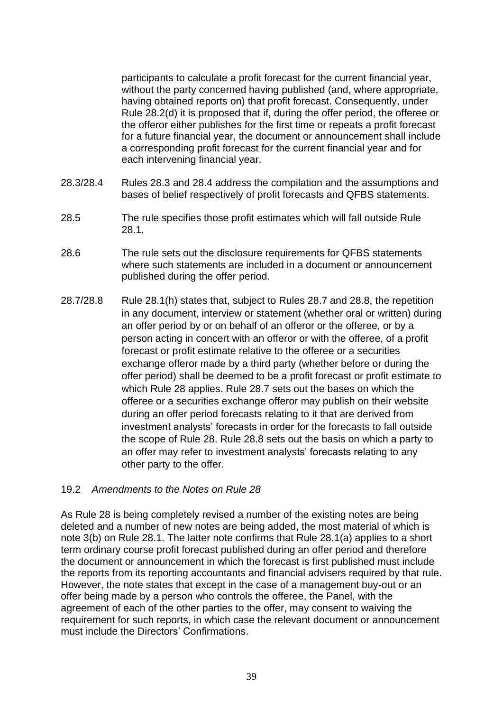participants to calculate a profit forecast for the current financial year, without the party concerned having published (and, where appropriate, having obtained reports on) that profit forecast. Consequently, under Rule 28.2(d) it is proposed that if, during the offer period, the offeree or the offeror either publishes for the first time or repeats a profit forecast for a future financial year, the document or announcement shall include a corresponding profit forecast for the current financial year and for each intervening financial year.

- 28.3/28.4 Rules 28.3 and 28.4 address the compilation and the assumptions and bases of belief respectively of profit forecasts and QFBS statements.
- 28.5 The rule specifies those profit estimates which will fall outside Rule 28.1.
- 28.6 The rule sets out the disclosure requirements for QFBS statements where such statements are included in a document or announcement published during the offer period.
- 28.7/28.8 Rule 28.1(h) states that, subject to Rules 28.7 and 28.8, the repetition in any document, interview or statement (whether oral or written) during an offer period by or on behalf of an offeror or the offeree, or by a person acting in concert with an offeror or with the offeree, of a profit forecast or profit estimate relative to the offeree or a securities exchange offeror made by a third party (whether before or during the offer period) shall be deemed to be a profit forecast or profit estimate to which Rule 28 applies. Rule 28.7 sets out the bases on which the offeree or a securities exchange offeror may publish on their website during an offer period forecasts relating to it that are derived from investment analysts' forecasts in order for the forecasts to fall outside the scope of Rule 28. Rule 28.8 sets out the basis on which a party to an offer may refer to investment analysts' forecasts relating to any other party to the offer.

#### 19.2 *Amendments to the Notes on Rule 28*

As Rule 28 is being completely revised a number of the existing notes are being deleted and a number of new notes are being added, the most material of which is note 3(b) on Rule 28.1. The latter note confirms that Rule 28.1(a) applies to a short term ordinary course profit forecast published during an offer period and therefore the document or announcement in which the forecast is first published must include the reports from its reporting accountants and financial advisers required by that rule. However, the note states that except in the case of a management buy-out or an offer being made by a person who controls the offeree, the Panel, with the agreement of each of the other parties to the offer, may consent to waiving the requirement for such reports, in which case the relevant document or announcement must include the Directors' Confirmations.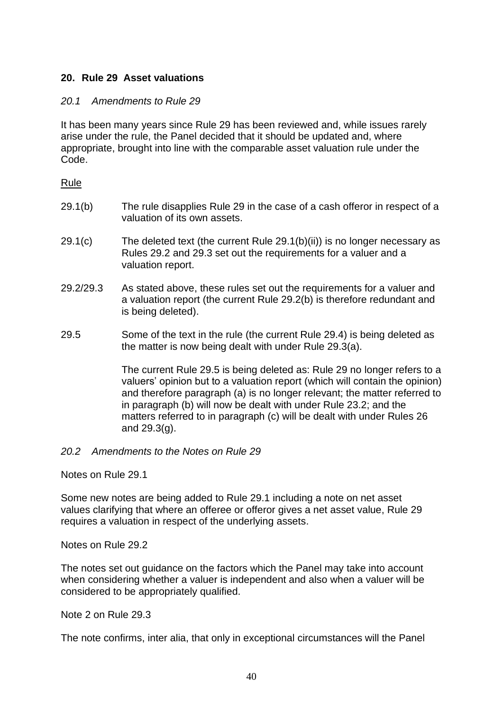# **20. Rule 29 Asset valuations**

#### *20.1 Amendments to Rule 29*

It has been many years since Rule 29 has been reviewed and, while issues rarely arise under the rule, the Panel decided that it should be updated and, where appropriate, brought into line with the comparable asset valuation rule under the Code.

#### Rule

- 29.1(b) The rule disapplies Rule 29 in the case of a cash offeror in respect of a valuation of its own assets.
- 29.1(c) The deleted text (the current Rule 29.1(b)(ii)) is no longer necessary as Rules 29.2 and 29.3 set out the requirements for a valuer and a valuation report.
- 29.2/29.3 As stated above, these rules set out the requirements for a valuer and a valuation report (the current Rule 29.2(b) is therefore redundant and is being deleted).
- 29.5 Some of the text in the rule (the current Rule 29.4) is being deleted as the matter is now being dealt with under Rule 29.3(a).

The current Rule 29.5 is being deleted as: Rule 29 no longer refers to a valuers' opinion but to a valuation report (which will contain the opinion) and therefore paragraph (a) is no longer relevant; the matter referred to in paragraph (b) will now be dealt with under Rule 23.2; and the matters referred to in paragraph (c) will be dealt with under Rules 26 and 29.3(g).

#### *20.2 Amendments to the Notes on Rule 29*

Notes on Rule 29.1

Some new notes are being added to Rule 29.1 including a note on net asset values clarifying that where an offeree or offeror gives a net asset value, Rule 29 requires a valuation in respect of the underlying assets.

Notes on Rule 29.2

The notes set out guidance on the factors which the Panel may take into account when considering whether a valuer is independent and also when a valuer will be considered to be appropriately qualified.

Note 2 on Rule 29.3

The note confirms, inter alia, that only in exceptional circumstances will the Panel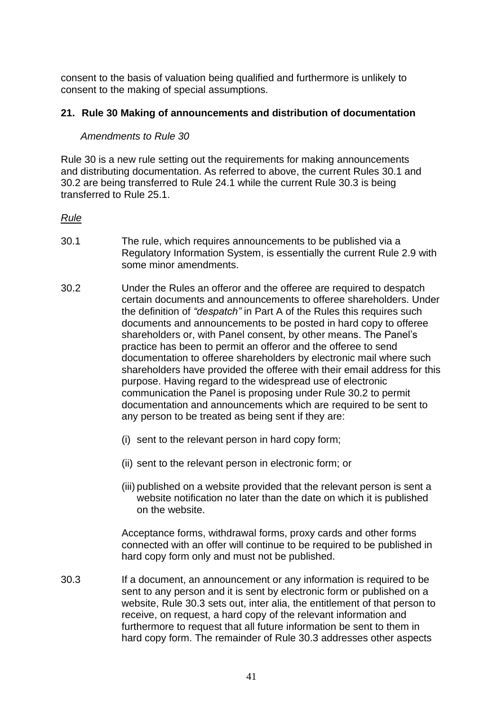consent to the basis of valuation being qualified and furthermore is unlikely to consent to the making of special assumptions.

#### **21. Rule 30 Making of announcements and distribution of documentation**

#### *Amendments to Rule 30*

Rule 30 is a new rule setting out the requirements for making announcements and distributing documentation. As referred to above, the current Rules 30.1 and 30.2 are being transferred to Rule 24.1 while the current Rule 30.3 is being transferred to Rule 25.1.

# *Rule*

- 30.1 The rule, which requires announcements to be published via a Regulatory Information System, is essentially the current Rule 2.9 with some minor amendments.
- 30.2 Under the Rules an offeror and the offeree are required to despatch certain documents and announcements to offeree shareholders. Under the definition of *"despatch"* in Part A of the Rules this requires such documents and announcements to be posted in hard copy to offeree shareholders or, with Panel consent, by other means. The Panel's practice has been to permit an offeror and the offeree to send documentation to offeree shareholders by electronic mail where such shareholders have provided the offeree with their email address for this purpose. Having regard to the widespread use of electronic communication the Panel is proposing under Rule 30.2 to permit documentation and announcements which are required to be sent to any person to be treated as being sent if they are:
	- (i) sent to the relevant person in hard copy form;
	- (ii) sent to the relevant person in electronic form; or
	- (iii) published on a website provided that the relevant person is sent a website notification no later than the date on which it is published on the website.

Acceptance forms, withdrawal forms, proxy cards and other forms connected with an offer will continue to be required to be published in hard copy form only and must not be published.

30.3 If a document, an announcement or any information is required to be sent to any person and it is sent by electronic form or published on a website, Rule 30.3 sets out, inter alia, the entitlement of that person to receive, on request, a hard copy of the relevant information and furthermore to request that all future information be sent to them in hard copy form. The remainder of Rule 30.3 addresses other aspects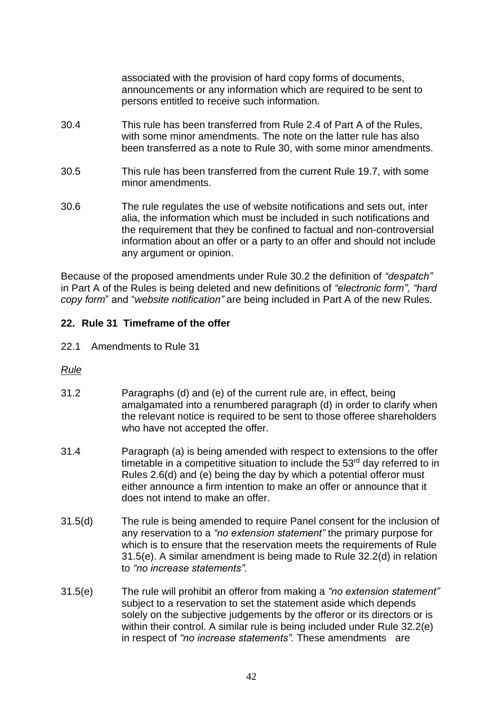associated with the provision of hard copy forms of documents, announcements or any information which are required to be sent to persons entitled to receive such information.

- 30.4 This rule has been transferred from Rule 2.4 of Part A of the Rules, with some minor amendments. The note on the latter rule has also been transferred as a note to Rule 30, with some minor amendments.
- 30.5 This rule has been transferred from the current Rule 19.7, with some minor amendments.
- 30.6 The rule regulates the use of website notifications and sets out, inter alia, the information which must be included in such notifications and the requirement that they be confined to factual and non-controversial information about an offer or a party to an offer and should not include any argument or opinion.

Because of the proposed amendments under Rule 30.2 the definition of *"despatch"* in Part A of the Rules is being deleted and new definitions of *"electronic form", "hard copy form*" and "*website notification"* are being included in Part A of the new Rules.

# **22. Rule 31 Timeframe of the offer**

- 22.1 Amendments to Rule 31
- *Rule*
- 31.2 Paragraphs (d) and (e) of the current rule are, in effect, being amalgamated into a renumbered paragraph (d) in order to clarify when the relevant notice is required to be sent to those offeree shareholders who have not accepted the offer.
- 31.4 Paragraph (a) is being amended with respect to extensions to the offer timetable in a competitive situation to include the 53<sup>rd</sup> day referred to in Rules 2.6(d) and (e) being the day by which a potential offeror must either announce a firm intention to make an offer or announce that it does not intend to make an offer.
- 31.5(d) The rule is being amended to require Panel consent for the inclusion of any reservation to a *"no extension statement"* the primary purpose for which is to ensure that the reservation meets the requirements of Rule 31.5(e). A similar amendment is being made to Rule 32.2(d) in relation to *"no increase statements".*
- 31.5(e) The rule will prohibit an offeror from making a *"no extension statement"* subject to a reservation to set the statement aside which depends solely on the subjective judgements by the offeror or its directors or is within their control. A similar rule is being included under Rule 32.2(e) in respect of *"no increase statements".* These amendments are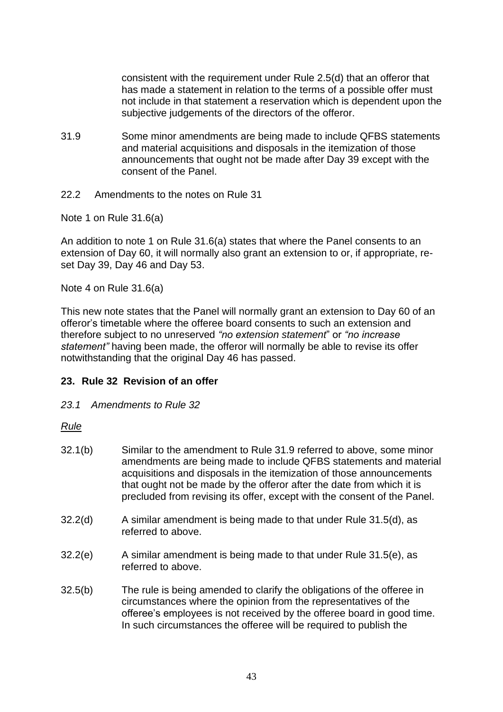consistent with the requirement under Rule 2.5(d) that an offeror that has made a statement in relation to the terms of a possible offer must not include in that statement a reservation which is dependent upon the subjective judgements of the directors of the offeror.

- 31.9 Some minor amendments are being made to include QFBS statements and material acquisitions and disposals in the itemization of those announcements that ought not be made after Day 39 except with the consent of the Panel.
- 22.2 Amendments to the notes on Rule 31

Note 1 on Rule 31.6(a)

An addition to note 1 on Rule 31.6(a) states that where the Panel consents to an extension of Day 60, it will normally also grant an extension to or, if appropriate, reset Day 39, Day 46 and Day 53.

Note 4 on Rule 31.6(a)

This new note states that the Panel will normally grant an extension to Day 60 of an offeror's timetable where the offeree board consents to such an extension and therefore subject to no unreserved *"no extension statement*" or *"no increase statement"* having been made, the offeror will normally be able to revise its offer notwithstanding that the original Day 46 has passed.

#### **23. Rule 32 Revision of an offer**

*23.1 Amendments to Rule 32*

#### *Rule*

- 32.1(b) Similar to the amendment to Rule 31.9 referred to above, some minor amendments are being made to include QFBS statements and material acquisitions and disposals in the itemization of those announcements that ought not be made by the offeror after the date from which it is precluded from revising its offer, except with the consent of the Panel.
- 32.2(d) A similar amendment is being made to that under Rule 31.5(d), as referred to above.
- 32.2(e) A similar amendment is being made to that under Rule 31.5(e), as referred to above.
- 32.5(b) The rule is being amended to clarify the obligations of the offeree in circumstances where the opinion from the representatives of the offeree's employees is not received by the offeree board in good time. In such circumstances the offeree will be required to publish the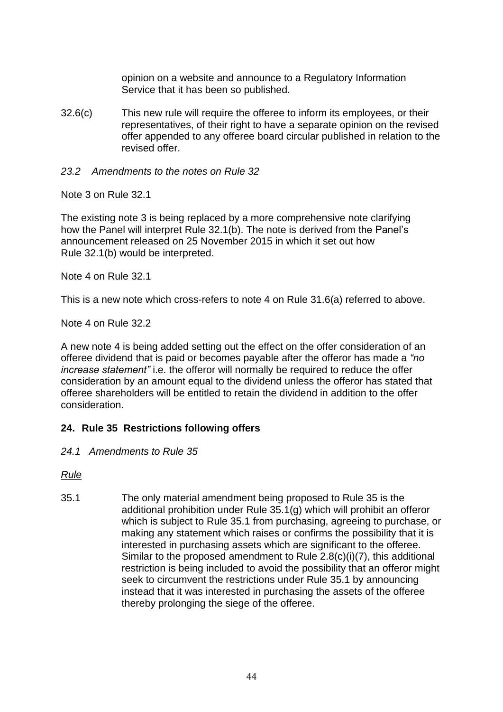opinion on a website and announce to a Regulatory Information Service that it has been so published.

32.6(c) This new rule will require the offeree to inform its employees, or their representatives, of their right to have a separate opinion on the revised offer appended to any offeree board circular published in relation to the revised offer.

#### *23.2 Amendments to the notes on Rule 32*

Note 3 on Rule 32.1

The existing note 3 is being replaced by a more comprehensive note clarifying how the Panel will interpret Rule 32.1(b). The note is derived from the Panel's announcement released on 25 November 2015 in which it set out how Rule 32.1(b) would be interpreted.

Note 4 on Rule 32.1

This is a new note which cross-refers to note 4 on Rule 31.6(a) referred to above.

Note 4 on Rule 32.2

A new note 4 is being added setting out the effect on the offer consideration of an offeree dividend that is paid or becomes payable after the offeror has made a *"no increase statement"* i.e. the offeror will normally be required to reduce the offer consideration by an amount equal to the dividend unless the offeror has stated that offeree shareholders will be entitled to retain the dividend in addition to the offer consideration.

# **24. Rule 35 Restrictions following offers**

*24.1 Amendments to Rule 35*

*Rule*

35.1 The only material amendment being proposed to Rule 35 is the additional prohibition under Rule 35.1(g) which will prohibit an offeror which is subject to Rule 35.1 from purchasing, agreeing to purchase, or making any statement which raises or confirms the possibility that it is interested in purchasing assets which are significant to the offeree. Similar to the proposed amendment to Rule 2.8(c)(i)(7), this additional restriction is being included to avoid the possibility that an offeror might seek to circumvent the restrictions under Rule 35.1 by announcing instead that it was interested in purchasing the assets of the offeree thereby prolonging the siege of the offeree.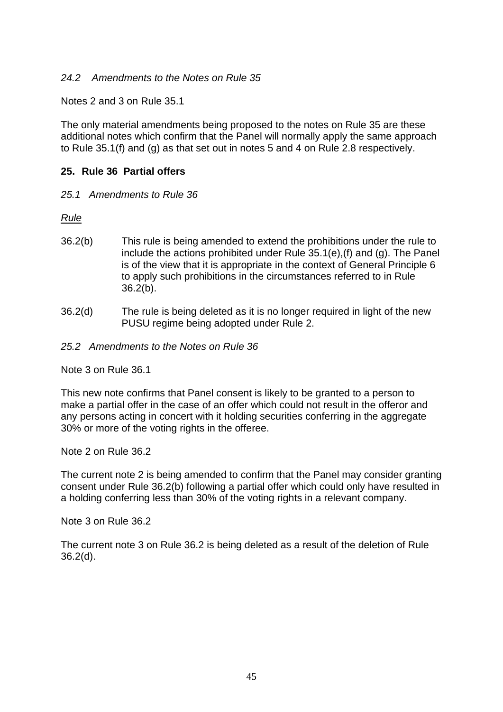#### *24.2 Amendments to the Notes on Rule 35*

Notes 2 and 3 on Rule 35.1

The only material amendments being proposed to the notes on Rule 35 are these additional notes which confirm that the Panel will normally apply the same approach to Rule 35.1(f) and (g) as that set out in notes 5 and 4 on Rule 2.8 respectively.

# **25. Rule 36 Partial offers**

*25.1 Amendments to Rule 36*

*Rule*

- 36.2(b) This rule is being amended to extend the prohibitions under the rule to include the actions prohibited under Rule 35.1(e),(f) and (g). The Panel is of the view that it is appropriate in the context of General Principle 6 to apply such prohibitions in the circumstances referred to in Rule 36.2(b).
- 36.2(d) The rule is being deleted as it is no longer required in light of the new PUSU regime being adopted under Rule 2.
- *25.2 Amendments to the Notes on Rule 36*

Note 3 on Rule 36.1

This new note confirms that Panel consent is likely to be granted to a person to make a partial offer in the case of an offer which could not result in the offeror and any persons acting in concert with it holding securities conferring in the aggregate 30% or more of the voting rights in the offeree.

Note 2 on Rule 36.2

The current note 2 is being amended to confirm that the Panel may consider granting consent under Rule 36.2(b) following a partial offer which could only have resulted in a holding conferring less than 30% of the voting rights in a relevant company.

Note 3 on Rule 36.2

The current note 3 on Rule 36.2 is being deleted as a result of the deletion of Rule 36.2(d).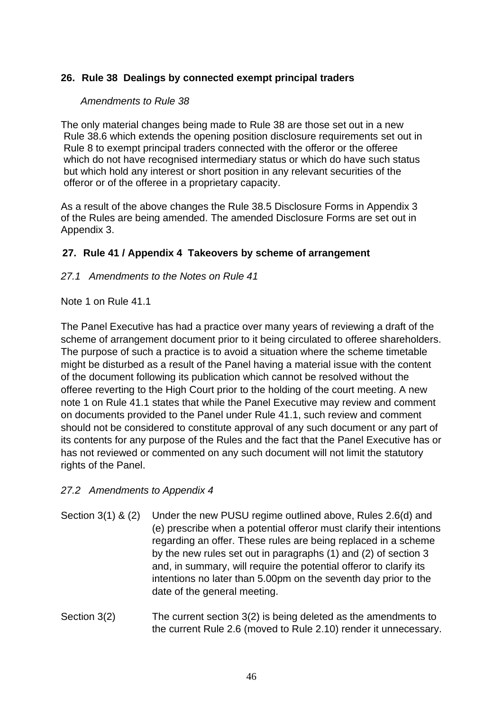# **26. Rule 38 Dealings by connected exempt principal traders**

# *Amendments to Rule 38*

The only material changes being made to Rule 38 are those set out in a new Rule 38.6 which extends the opening position disclosure requirements set out in Rule 8 to exempt principal traders connected with the offeror or the offeree which do not have recognised intermediary status or which do have such status but which hold any interest or short position in any relevant securities of the offeror or of the offeree in a proprietary capacity.

As a result of the above changes the Rule 38.5 Disclosure Forms in Appendix 3 of the Rules are being amended. The amended Disclosure Forms are set out in Appendix 3.

# **27. Rule 41 / Appendix 4 Takeovers by scheme of arrangement**

*27.1 Amendments to the Notes on Rule 41*

#### Note 1 on Rule 41.1

The Panel Executive has had a practice over many years of reviewing a draft of the scheme of arrangement document prior to it being circulated to offeree shareholders. The purpose of such a practice is to avoid a situation where the scheme timetable might be disturbed as a result of the Panel having a material issue with the content of the document following its publication which cannot be resolved without the offeree reverting to the High Court prior to the holding of the court meeting. A new note 1 on Rule 41.1 states that while the Panel Executive may review and comment on documents provided to the Panel under Rule 41.1, such review and comment should not be considered to constitute approval of any such document or any part of its contents for any purpose of the Rules and the fact that the Panel Executive has or has not reviewed or commented on any such document will not limit the statutory rights of the Panel.

#### *27.2 Amendments to Appendix 4*

- Section 3(1) & (2) Under the new PUSU regime outlined above, Rules 2.6(d) and (e) prescribe when a potential offeror must clarify their intentions regarding an offer. These rules are being replaced in a scheme by the new rules set out in paragraphs (1) and (2) of section 3 and, in summary, will require the potential offeror to clarify its intentions no later than 5.00pm on the seventh day prior to the date of the general meeting.
- Section 3(2) The current section 3(2) is being deleted as the amendments to the current Rule 2.6 (moved to Rule 2.10) render it unnecessary.